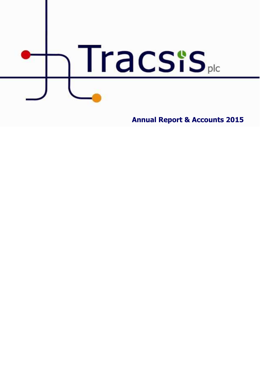

**Annual Report & Accounts 2015**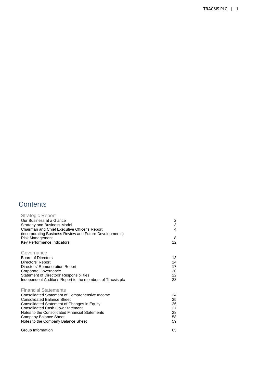### **Contents**

| <b>Strategic Report</b><br>Our Business at a Glance<br><b>Strategy and Business Model</b><br>Chairman and Chief Executive Officer's Report<br>(incorporating Business Review and Future Developments)<br>Risk Management<br>Key Performance Indicators                                                                        | $\overline{c}$<br>3<br>4<br>8<br>12    |
|-------------------------------------------------------------------------------------------------------------------------------------------------------------------------------------------------------------------------------------------------------------------------------------------------------------------------------|----------------------------------------|
| Governance<br><b>Board of Directors</b><br>Directors' Report<br>Directors' Remuneration Report<br>Corporate Governance<br>Statement of Directors' Responsibilities<br>Independent Auditor's Report to the members of Tracsis plc                                                                                              | 13<br>14<br>17<br>20<br>22<br>23       |
| <b>Financial Statements</b><br>Consolidated Statement of Comprehensive Income<br><b>Consolidated Balance Sheet</b><br>Consolidated Statement of Changes in Equity<br><b>Consolidated Cash Flow Statement</b><br>Notes to the Consolidated Financial Statements<br>Company Balance Sheet<br>Notes to the Company Balance Sheet | 24<br>25<br>26<br>27<br>28<br>58<br>59 |
| Group Information                                                                                                                                                                                                                                                                                                             | 65                                     |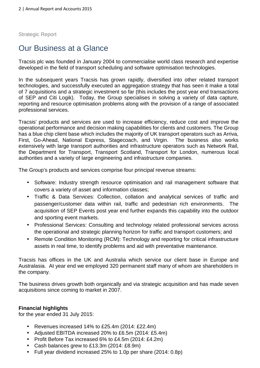### Our Business at a Glance

Tracsis plc was founded in January 2004 to commercialise world class research and expertise developed in the field of transport scheduling and software optimisation technologies.

In the subsequent years Tracsis has grown rapidly, diversified into other related transport technologies, and successfully executed an aggregation strategy that has seen it make a total of 7 acquisitions and a strategic investment so far (this includes the post year end transactions of SEP and Citi Logik). Today, the Group specialises in solving a variety of data capture, reporting and resource optimisation problems along with the provision of a range of associated professional services.

Tracsis' products and services are used to increase efficiency, reduce cost and improve the operational performance and decision making capabilities for clients and customers. The Group has a blue chip client base which includes the majority of UK transport operators such as Arriva, First, Go-Ahead, National Express, Stagecoach, and Virgin. The business also works extensively with large transport authorities and infrastructure operators such as Network Rail, the Department for Transport, Transport Scotland, Transport for London, numerous local authorities and a variety of large engineering and infrastructure companies.

The Group's products and services comprise four principal revenue streams:

- Software: Industry strength resource optimisation and rail management software that covers a variety of asset and information classes;
- Traffic & Data Services: Collection, collation and analytical services of traffic and passenger/customer data within rail, traffic and pedestrian rich environments. The acquisition of SEP Events post year end further expands this capability into the outdoor and sporting event markets.
- Professional Services: Consulting and technology related professional services across the operational and strategic planning horizon for traffic and transport customers; and
- Remote Condition Monitoring (RCM): Technology and reporting for critical infrastructure assets in real time, to identify problems and aid with preventative maintenance.

Tracsis has offices in the UK and Australia which service our client base in Europe and Australasia. At year end we employed 320 permanent staff many of whom are shareholders in the company.

The business drives growth both organically and via strategic acquisition and has made seven acquisitions since coming to market in 2007.

### **Financial highlights**

for the year ended 31 July 2015:

- Revenues increased 14% to £25.4m (2014: £22.4m)
- Adjusted EBITDA increased 20% to £6.5m (2014: £5.4m)
- Profit Before Tax increased 6% to £4.5m (2014: £4.2m)
- Cash balances grew to £13.3m (2014: £8.9m)
- Full year dividend increased 25% to 1.0p per share (2014: 0.8p)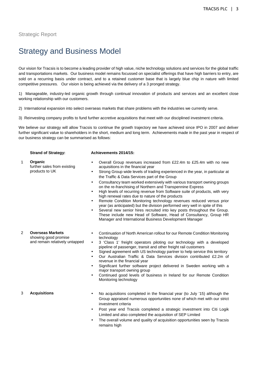### Strategy and Business Model

Our vision for Tracsis is to become a leading provider of high value, niche technology solutions and services for the global traffic and transportations markets. Our business model remains focussed on specialist offerings that have high barriers to entry, are sold on a recurring basis under contract, and to a retained customer base that is largely blue chip in nature with limited competitive pressures. Our vision is being achieved via the delivery of a 3 pronged strategy.

1) Manageable, industry-led organic growth through continual innovation of products and services and an excellent close working relationship with our customers.

- 2) International expansion into select overseas markets that share problems with the industries we currently serve.
- 3) Reinvesting company profits to fund further accretive acquisitions that meet with our disciplined investment criteria.

We believe our strategy will allow Tracsis to continue the growth trajectory we have achieved since IPO in 2007 and deliver further significant value to shareholders in the short, medium and long term. Achievements made in the past year in respect of our business strategy can be summarised as follows:

products to UK

further sales from existing

1 **Organic**

#### **Strand of Strategy: Achievements 2014/15:**

- Overall Group revenues increased from £22.4m to £25.4m with no new acquisitions in the financial year
- Strong Group wide levels of trading experienced in the year, in particular at the Traffic & Data Services part of the Group
- Consultancy team worked extensively with various transport owning groups on the re-franchising of Northern and Transpennine Express
- High levels of recurring revenue from Software suite of products, with very high renewal rates due to nature of the products
- Remote Condition Monitoring technology revenues reduced versus prior year (as anticipated) but the division performed very well in spite of this
- Several new senior hires recruited into key posts throughout the Group. These include new Head of Software, Head of Consultancy, Group HR Manager and International Business Development Manager

#### 2 **Overseas Markets** showing good promise and remain relatively untapped

- Continuation of North American rollout for our Remote Condition Monitoring technology
- 3 'Class 1' freight operators piloting our technology with a developed pipeline of passenger, transit and other freight rail customers
- Signed agreement with US technology partner to help service this territory
- Our Australian Traffic & Data Services division contributed £2.2m of revenue in the financial year
- Significant further software project delivered in Sweden working with a major transport owning group
- Continued good levels of business in Ireland for our Remote Condition Monitoring technology

- 3 **Acquisitions** No acquisitions completed in the financial year (to July '15) although the Group appraised numerous opportunities none of which met with our strict investment criteria
	- Post year end Tracsis completed a strategic investment into Citi Logik Limited and also completed the acquisition of SEP Limited
	- The overall volume and quality of acquisition opportunities seen by Tracsis remains high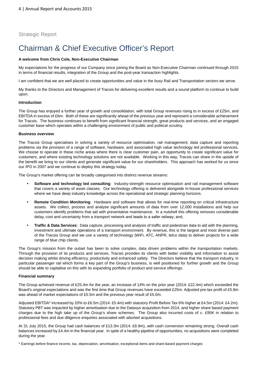## Chairman & Chief Executive Officer's Report

#### **A welcome from Chris Cole, Non-Executive Chairman**

My expectations for the progress of our Company since joining the Board as Non-Executive Chairman continued through 2015 in terms of financial results, integration of the Group and the post-year transaction highlights.

I am confident that we are well placed to create opportunities and value in the busy Rail and Transportation sectors we serve.

My thanks to the Directors and Management of Tracsis for delivering excellent results and a sound platform to continue to build upon.

#### **Introduction**

The Group has enjoyed a further year of growth and consolidation, with total Group revenues rising to in excess of £25m, and EBITDA in excess of £6m. Both of these are significantly ahead of the previous year and represent a considerable achievement for Tracsis. The business continues to benefit from significant financial strength, great products and services, and an engaged customer base which operates within a challenging environment of public and political scrutiny.

#### **Business overview**

The Tracsis Group specialises in solving a variety of resource optimisation, rail management, data capture and reporting problems via the provision of a range of software, hardware, and associated high value technology led professional services. We choose to operate in these niche areas where there is clear customer pain, an opportunity to create significant value for customers, and where existing technology solutions are not available. Working in this way, Tracsis can share in the upside of the benefit we bring to our clients and generate significant value for our shareholders. This approach has worked for us since our IPO in 2007 and we continue to deploy this strategy today.

The Group's market offering can be broadly categorised into distinct revenue streams:

- **Software and technology led consulting**: Industry-strength resource optimisation and rail management software that covers a variety of asset classes. Our technology offering is delivered alongside in-house professional services where we have deep industry knowledge across the operational and strategic planning horizons.
- **Remote Condition Monitoring**: Hardware and software that allows for real-time reporting on critical infrastructure assets. We collect, process and analyse significant amounts of data from over 12,000 installations and help our customers identify problems that aid with preventative maintenance. In a nutshell this offering removes considerable delay, cost and uncertainty from a transport network and leads to a safer railway; and,
- **Traffic & Data Services**: Data capture, processing and analysis of traffic and pedestrian data to aid with the planning, investment and ultimate operations of a transport environment. By revenue, this is the largest and most diverse part of the Tracsis Group and we use a variety of technology (WiFi, ATC, ANPR, telco data) to deliver projects for a wide range of blue chip clients.

The Group's mission from the outset has been to solve complex, data driven problems within the transportation markets. Through the provision of its products and services, Tracsis provides its clients with better visibility and information to assist decision making whilst driving efficiency, productivity and enhanced safety. The Directors believe that the transport industry, in particular passenger rail which forms a key part of the Group's business, is well positioned for further growth and the Group should be able to capitalise on this with its expanding portfolio of product and service offerings.

#### **Financial summary**

The Group achieved revenue of £25.4m for the year, an increase of 14% on the prior year (2014: £22.4m) which exceeded the Board's original expectations and was the first time that Group revenues have exceeded £25m. Adjusted pre-tax profit of £5.8m was ahead of market expectations of £5.5m and the previous year result of £5.0m.

Adjusted EBITDA\* increased by 20% to £6.5m (2014: £5.4m) with statutory Profit Before Tax 6% higher at £4.5m (2014: £4.2m). Statutory PBT was impacted by higher amortisation due to the Datasys acquisition from 2014, and higher share based payment charges due to the high take up of the Group's share schemes. The Group also incurred costs of c. £95K in relation to professional fees and due diligence enquiries associated with aborted acquisitions.

At 31 July 2015, the Group had cash balances of £13.3m (2014: £8.9m), with cash conversion remaining strong. Overall cash balances increased by £4.4m in the financial year. In spite of a healthy pipeline of opportunities, no acquisitions were completed during the year.

\* Earnings before finance income, tax, depreciation, amortisation, exceptional items and share-based payment charges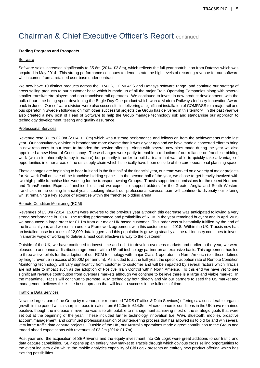# Chairman & Chief Executive Officer's Report continued

#### **Trading Progress and Prospects**

#### **Software**

Software sales increased significantly to £5.6m (2014: £2.8m), which reflects the full year contribution from Datasys which was acquired in May 2014. This strong performance continues to demonstrate the high levels of recurring revenue for our software which comes from a retained user base under contract.

We now have 10 distinct products across the TRACS, COMPASS and Datasys software range, and continue our strategy of cross selling products to our customer base which is made up of all the major Train Operating Companies along with several smaller transit/metro players and non-franchised rail operators. We continued to invest in new product development, with the bulk of our time being spent developing the Bugle Day One product which won a Modern Railways Industry Innovation Award back in June. Our software division were also successful in delivering a significant installation of COMPASS to a major rail and bus operator in Sweden following on from other successful projects the Group has delivered in this territory. In the past year we also created a new post of Head of Software to help the Group manage technology risk and standardise our approach to technology development, testing and quality assurance.

#### Professional Services

Revenue rose 8% to £2.0m (2014: £1.8m) which was a strong performance and follows on from the achievements made last year. Our consultancy division is broader and more diverse than it was a year ago and we have made a concerted effort to bring in new resources to our team to broaden the service offering. Along with several new hires made during the year we also appointed a new Head of Consultancy. These changes were partly to enable a reduction of our reliance on franchise bidding work (which is inherently lumpy in nature) but primarily in order to build a team that was able to quickly take advantage of opportunities in other areas of the rail supply chain which historically have been outside of the core operational planning space.

These changes are beginning to bear fruit and in the first half of the financial year, our team worked on a variety of major projects for Network Rail outside of the franchise bidding space. In the second half of the year, we chose to get heavily involved with two high profile franchise bids working for the transport owning Groups. Tracsis supported submissions for the recent Northern and TransPennine Express franchise bids, and we expect to support bidders for the Greater Anglia and South Western franchises in the coming financial year. Looking ahead, our professional services team will continue to diversify our offering whilst remaining a key source of expertise within the franchise bidding arena.

#### Remote Condition Monitoring (RCM)

Revenues of £3.0m (2014: £5.8m) were adverse to the previous year although this decrease was anticipated following a very strong performance in 2014. The trading performance and profitability of RCM in the year remained buoyant and in April 2015 we announced a large order for £1.1m from our major UK based customer. This order was substantially fulfilled by the end of the financial year, and we remain under a Framework agreement with this customer until 2018. Within the UK, Tracsis now has an installed base in excess of 12,000 data loggers and this population is growing steadily as the rail industry continues to invest in smarter ways of working to deliver a most cost effective railway to the customer.

Outside of the UK, we have continued to invest time and effort to develop overseas markets and earlier in the year, we were pleased to announce a distribution agreement with a US rail technology partner on an exclusive basis. This agreement has led to three active pilots for the adoption of our RCM technology with major Class 1 operators in North America (i.e. those defined by freight revenue in excess of \$500M per annum). As alluded to at the half year, the specific adoption rate of Remote Condition Monitoring technology will vary significantly from customer to customer and will be impacted by several factors which Tracsis are not able to impact such as the adoption of Positive Train Control within North America. To this end we have yet to see significant revenue contribution from overseas markets although we continue to believe there is a large and viable market. In the meantime, Tracsis will continue to promote RCM technology both directly and via our partners to seed the US market and management believes this is the best approach that will lead to success in the fullness of time.

#### Traffic & Data Services

Now the largest part of the Group by revenue, our rebranded T&DS (Traffics & Data Services) offering saw considerable organic growth in the period with a sharp increase in sales from £12.0m to £14.8m. Macroeconomic conditions in the UK have remained positive, though the increase in revenue was also attributable to management achieving most of the strategic goals that were set out at the beginning of the year. These included further technology innovation (i.e. WiFi, Bluetooth, mobile), proactive account management, and continued professionalisation of our tendering process that has allowed us to bid for and win several very large traffic data capture projects. Outside of the UK, our Australia operations made a great contribution to the Group and traded ahead expectations with revenues of £2.2m (2014: £1.7m).

Post year end, the acquisition of SEP Events and the equity investment into Citi Logik were great additions to our traffic and data capture capabilities. SEP opens up an entirely new market to Tracsis through which obvious cross selling opportunities to the event industry exist whilst the mobile analytics capability of Citi Logik presents an entirely new product offering which has exciting possibilities.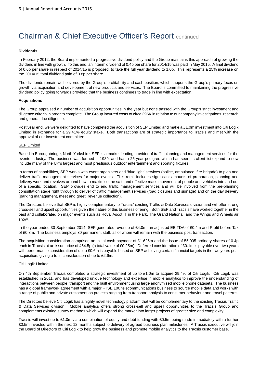# Chairman & Chief Executive Officer's Report continued

#### **Dividends**

In February 2012, the Board implemented a progressive dividend policy and the Group maintains this approach of growing the dividend in line with growth. To this end, an interim dividend of 0.4p per share for 2014/15 was paid in May 2015. A final dividend of 0.6p per share in respect of 2014/15 is proposed, to take the full year dividend to 1.0p. This represents a 25% increase on the 2014/15 total dividend paid of 0.8p per share.

The dividends remain well covered by the Group's profitability and cash position, which supports the Group's primary focus on growth via acquisition and development of new products and services. The Board is committed to maintaining the progressive dividend policy going forwards provided that the business continues to trade in line with expectation.

#### **Acquisitions**

The Group appraised a number of acquisition opportunities in the year but none passed with the Group's strict investment and diligence criteria in order to complete. The Group incurred costs of circa £95K in relation to our company investigations, research and general due diligence.

Post year end, we were delighted to have completed the acquisition of SEP Limited and make a £1.0m investment into Citi Logik Limited in exchange for a 29.41% equity stake. Both transactions are of strategic importance to Tracsis and met with the approval of our investment committee.

#### **SEP Limited**

Based in Boroughbridge, North Yorkshire, SEP is a market leading provider of traffic planning and management services for the events industry. The business was formed in 1989, and has a 25 year pedigree which has seen its client list expand to now include many of the UK's largest and most prestigious outdoor entertainment and sporting fixtures.

In terms of capabilities, SEP works with event organisers and 'blue light' services (police, ambulance, fire brigade) to plan and deliver traffic management services for major events. This remit includes significant amounts of preparation, planning and delivery work and revolves around how to maximise the safe and effective mass movement of people and vehicles into and out of a specific location. SEP provides end to end traffic management services and will be involved from the pre-planning consultation stage right through to deliver of traffic management services (road closures and signage) and on the day delivery (parking management, meet and greet, revenue collection).

The Directors believe that SEP is highly complementary to Tracsis' existing Traffic & Data Services division and will offer strong cross-sell and upsell opportunities given the nature of this business offering. Both SEP and Tracsis have worked together in the past and collaborated on major events such as Royal Ascot, T in the Park, The Grand National, and the Wings and Wheels air show.

In the year ended 30 September 2014, SEP generated revenue of £4.0m, an adjusted EBITDA of £0.4m and Profit before Tax of £0.3m. The business employs 30 permanent staff, all of whom will remain with the business post transaction.

The acquisition consideration comprised an initial cash payment of £1.625m and the issue of 55,005 ordinary shares of 0.4p each in Tracsis at an issue price of 454.5p (a total value of £0.25m). Deferred consideration of £0.1m is payable over two years with performance consideration of up to £0.6m is payable based on SEP achieving certain financial targets in the two years post acquisition, giving a total consideration of up to £2.6m.

#### Citi Logik Limited

On 4th September Tracsis completed a strategic investment of up to £1.0m to acquire 29.4% of Citi Logik. Citi Logik was established in 2011, and has developed unique technology and expertise in mobile analytics to improve the understanding of interactions between people, transport and the built environment using large anonymised mobile phone datasets. The business has a global framework agreement with a major FTSE 100 telecommunications business to source mobile data and works with a range of public and private customers on projects ranging from transport analysis to consumer behaviour and travel patterns.

The Directors believe Citi Logik has a highly novel technology platform that will be complementary to the existing Tracsis Traffic & Data Services division. Mobile analytics offers strong cross-sell and upsell opportunities to the Tracsis Group and complements existing survey methods which will expand the market into larger projects of greater size and complexity.

Tracsis will invest up to £1.0m via a combination of equity and debt funding with £0.5m being made immediately with a further £0.5m invested within the next 12 months subject to delivery of agreed business plan milestones. A Tracsis executive will join the Board of Directors of Citi Logik to help grow the business and promote mobile analytics to the Tracsis customer base.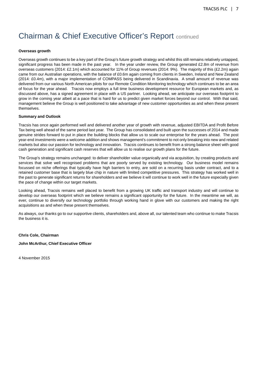## Chairman & Chief Executive Officer's Report continued

#### **Overseas growth**

Overseas growth continues to be a key part of the Group's future growth strategy and whilst this still remains relatively untapped, significant progress has been made in the past year. In the year under review, the Group generated £2.8m of revenue from overseas customers (2014: £2.1m) which accounted for 11% of Group revenues (2014: 9%). The majority of this (£2.2m) again came from our Australian operations, with the balance of £0.6m again coming from clients in Sweden, Ireland and New Zealand (2014: £0.4m), with a major implementation of COMPASS being delivered in Scandinavia. A small amount of revenue was delivered from our various North American pilots for our Remote Condition Monitoring technology which continues to be an area of focus for the year ahead. Tracsis now employs a full time business development resource for European markets and, as discussed above, has a signed agreement in place with a US partner. Looking ahead, we anticipate our overseas footprint to grow in the coming year albeit at a pace that is hard for us to predict given market forces beyond our control. With that said, management believe the Group is well positioned to take advantage of new customer opportunities as and when these present themselves.

#### **Summary and Outlook**

Tracsis has once again performed well and delivered another year of growth with revenue, adjusted EBITDA and Profit Before Tax being well ahead of the same period last year. The Group has consolidated and built upon the successes of 2014 and made genuine strides forward to put in place the building blocks that allow us to scale our enterprise for the years ahead. The post year-end investments were a welcome addition and shows management's commitment to not only breaking into new and related markets but also our passion for technology and innovation. Tracsis continues to benefit from a strong balance sheet with good cash generation and significant cash reserves that will allow us to realise our growth plans for the future.

The Group's strategy remains unchanged: to deliver shareholder value organically and via acquisition, by creating products and services that solve well recognised problems that are poorly served by existing technology. Our business model remains focussed on niche offerings that typically have high barriers to entry, are sold on a recurring basis under contract, and to a retained customer base that is largely blue chip in nature with limited competitive pressures. This strategy has worked well in the past to generate significant returns for shareholders and we believe it will continue to work well in the future especially given the pace of change within our target markets.

Looking ahead, Tracsis remains well placed to benefit from a growing UK traffic and transport industry and will continue to develop our overseas footprint which we believe remains a significant opportunity for the future. In the meantime we will, as ever, continue to diversify our technology portfolio through working hand in glove with our customers and making the right acquisitions as and when these present themselves.

As always, our thanks go to our supportive clients, shareholders and, above all, our talented team who continue to make Tracsis the business it is.

#### **Chris Cole, Chairman**

#### **John McArthur, Chief Executive Officer**

4 November 2015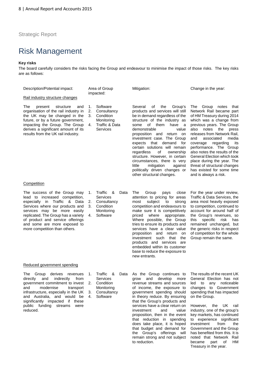### Risk Management

#### **Key risks**

The board carefully considers the risks facing the Group and endeavour to minimise the impact of those risks. The key risks are as follows:

| Description/Potential impact:                                                                                                                                                                                                                                                                                          | Area of Group<br>impacted:                                                                                       | Mitigation:                                                                                                                                                                                                                                                                                                                                                                                                                                                                                                                           | Change in the year:                                                                                                                                                                                                                                                                                                                                                                                                                                                                                |  |
|------------------------------------------------------------------------------------------------------------------------------------------------------------------------------------------------------------------------------------------------------------------------------------------------------------------------|------------------------------------------------------------------------------------------------------------------|---------------------------------------------------------------------------------------------------------------------------------------------------------------------------------------------------------------------------------------------------------------------------------------------------------------------------------------------------------------------------------------------------------------------------------------------------------------------------------------------------------------------------------------|----------------------------------------------------------------------------------------------------------------------------------------------------------------------------------------------------------------------------------------------------------------------------------------------------------------------------------------------------------------------------------------------------------------------------------------------------------------------------------------------------|--|
| Rail industry structure changes                                                                                                                                                                                                                                                                                        |                                                                                                                  |                                                                                                                                                                                                                                                                                                                                                                                                                                                                                                                                       |                                                                                                                                                                                                                                                                                                                                                                                                                                                                                                    |  |
| The<br>present<br>structure<br>and<br>organisation of the rail industry in<br>the UK may be changed in the<br>future, or by a future government,<br>impacting the Group. The Group<br>derives a significant amount of its<br>results from the UK rail industry.                                                        | 1.<br>Software<br>2.<br>Consultancy<br>3.<br>Condition<br>Monitoring<br>Traffic & Data<br>4.<br>Services         | Several<br>of<br>the<br>Group's<br>products and services will still<br>be in demand regardless of the<br>structure of the industry as<br>them<br>some<br>of<br>have<br>a<br>demonstrable<br>value<br>proposition and<br>return<br>on<br>investment case. The Group<br>expects that demand<br>for<br>certain solutions will remain<br>regardless<br>of<br>ownership<br>structure. However, in certain<br>circumstances, there is very<br>little<br>mitigation<br>against<br>politically driven changes or<br>other structural changes. | Group<br>The<br>notes<br>that<br>Network Rail became part<br>of HM Treasury during 2014<br>which was a change from<br>previous years. The Group<br>also<br>notes<br>the<br>press<br>releases from Network Rail.<br>and<br>associated<br>media<br>regarding<br>its<br>coverage<br>performance. The Group<br>also notes the results of the<br><b>General Election which took</b><br>place during the year. The<br>threat of structural changes<br>has existed for some time<br>and is always a risk. |  |
| Competition                                                                                                                                                                                                                                                                                                            |                                                                                                                  |                                                                                                                                                                                                                                                                                                                                                                                                                                                                                                                                       |                                                                                                                                                                                                                                                                                                                                                                                                                                                                                                    |  |
| The success of the Group may<br>lead to increased competition,<br>Traffic<br>& Data<br>especially<br>in.<br>Services where our products and<br>services may be more easily<br>replicated. The Group has a variety<br>of product and service offerings<br>and some are more exposed to<br>more competition than others. | Traffic<br>- &<br>1.<br>Data<br>Services<br>2.<br>Consultancy<br>3.<br>Condition<br>Monitoring<br>Software<br>4. | The<br>Group<br>close<br>pays<br>attention to pricing for areas<br>subject<br>most<br>to<br>strong<br>competition and endeavours to<br>make sure it is competitively<br>priced<br>where<br>appropriate.<br>Where possible, the Group<br>tries to ensure its products and<br>services have a clear value<br>proposition and return<br>on<br>investment<br>such<br>that<br>the<br>products and services<br>are<br>embedded within its customer<br>base to reduce the exposure to<br>new entrants.                                       | For the year under review,<br>Traffic & Data Services, the<br>area most heavily exposed<br>to competition, continued to<br>account for around half of<br>the Group's revenues, so<br>this<br>specific<br>risk<br>has<br>remained unchanged, but<br>the generic risks in respect<br>of competition for the whole<br>Group remain the same.                                                                                                                                                          |  |
| Reduced government spending                                                                                                                                                                                                                                                                                            |                                                                                                                  |                                                                                                                                                                                                                                                                                                                                                                                                                                                                                                                                       |                                                                                                                                                                                                                                                                                                                                                                                                                                                                                                    |  |
| The<br>Group<br>derives<br>revenues<br>directly<br>and<br>indirectly<br>from<br>government commitment to invest<br>and<br>modernise<br>transport<br>infrastructure, especially in the UK                                                                                                                               | Traffic<br>1.<br>- &<br>Data<br>Services<br>2.<br>Condition<br>Monitoring<br>3.<br>Consultancy                   | As the Group continues to<br>and<br>develop<br>grow<br>more<br>revenue streams and sources<br>of income, the exposure to<br>government spending should                                                                                                                                                                                                                                                                                                                                                                                | The results of the recent UK<br>General Election has not<br>led<br>to<br>any<br>noticeable<br>changes<br>to Government<br>spending that has impacted                                                                                                                                                                                                                                                                                                                                               |  |

infrastructure, especially in the UK and Australia, and would be significantly impacted if these public funding streams were reduced.

4. Software

government spending should in theory reduce. By ensuring that the Group's products and services have a clear return on investment and value proposition, then in the event that reduction in spending does take place, it is hoped that budget and demand for the Group's offerings will remain strong and not subject to reduction.

spending that has impacted on the Group.

However, the UK rail industry, one of the group's key markets, has continued to experience significant investment from the Government and the Group has benefited from this. It is noted that Network Rail became part of HM Treasury in the year.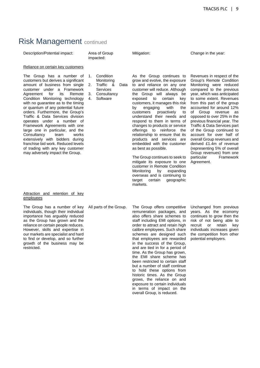### Risk Management continued

Description/Potential impact: Area of Group

impacted:

1. Condition **Monitoring** 2. Traffic & Data **Services** 3. Consultancy 4. Software

As the Group continues to grow and evolve, the exposure to and reliance on any one customer will reduce. Although the Group will always be exposed to certain key customers, it manages this risk by engaging with the customers proactively to understand their needs and respond to them in terms of changes to products or service offerings to reinforce the relationship to ensure that its products and services are embedded with the customer

as best as possible.

markets.

The Group continues to seek to mitigate its exposure to one customer in Remote Condition Monitoring by expanding overseas and is continuing to target certain geographic

Mitigation: Change in the year:

Reliance on certain key customers

The Group has a number of customers but derives a significant amount of business from single customer under a Framework<br>Agreement for its Remote Agreement for its Remote Condition Monitoring technology with no guarantee as to the timing or quantum of any potential future orders. Furthermore, the Group's Traffic & Data Services division operates under a number of Framework Agreements with one large one in particular, and the Consultancy team works extensively with bidders during franchise bid work. Reduced levels of trading with any key customer may adversely impact the Group.

#### Attraction and retention of key employees

The Group has a number of key individuals, though their individual importance has arguably reduced as the Group has grown and the reliance on certain people reduces. However, skills and expertise in our markets are specialist and hard to find or develop, and so further growth of the business may be restricted.

All parts of the Group. The Group offers competitive remuneration packages, and also offers share schemes to staff including EMI options, in order to attract and retain high calibre employees. Such share schemes are designed such that employees are rewarded in the success of the Group, and are tied in for a period of time. As the Group has grown, the EMI share scheme has been restricted to certain staff but a number of staff continue to hold these options from historic times. As the Group grows, the reliance on and exposure to certain individuals in terms of impact on the overall Group, is reduced.

Revenues in respect of the Group's Remote Condition Monitoring were reduced compared to the previous year, which was anticipated to some extent. Revenues from this part of the group accounted for around 12% of Group revenue as opposed to over 25% in the previous financial year. The Traffic & Data Services part of the Group continued to account for over half of overall Group revenues and derived £1.4m of revenue (representing 5% of overall Group revenues) from one particular Framework Agreement.

Unchanged from previous years. As the economy continues to grow then the risk of not being able to recruit or retain key individuals increases given the competition from other potential employers.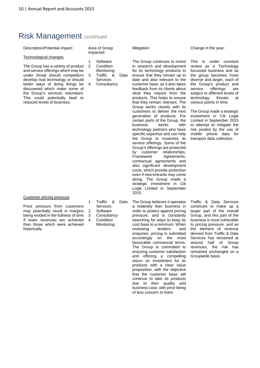### Risk Management continued

#### Description/Potential impact: Area of Group

#### Technological changes

The Group has a variety of product and service offerings which may be under threat should competitors develop rival technology or should better ways of doing things be discovered which make some of the Group's services redundant. This could potentially lead to reduced levels of business.

impacted:

- 1. Software 2. Condition
- **Monitoring** 3. Traffic & Data
- Services 4. Consultancy

The Group continues to invest in research and development for its technology products to ensure that they remain up to date and also relevant to the customer base, as it also takes feedback from its clients about what they require from the products. This helps to ensure that they remain relevant. The Group works closely with its customers to deliver the next generation of products. For certain parts of the Group, the business works with technology partners who have specific expertise and can help the Group to maximise its service offerings. Some of the Group's offerings are protected by customer relationships, Framework Agreements, contractual agreements and also significant development costs, which provide protection even if new entrants may come along. The Group made a strategic investment in Citi Logik Limited in September 2015.

The Group believes it operates a relatively lean business in order to protect against pricing pressure, and is constantly searching for ways to keep its cost base to a minimum. When reviewing tenders and enquiries, pricing is submitted accordingly on the most favourable commercial terms. The Group is committed to ensuring customer satisfaction and offering a compelling return on investment for its products with a clear value proposition, with the objective that the customer base will continue to take its products due to their quality and business case, with price being of less concern to them.

Mitigation: Change in the year:

This is under constant review as a Technology focussed business and as the group becomes more diverse and larger, each of the Group's product and service offerings are subject to different levels of technology threats at various points in time.

The Group made a strategic investment in Citi Logik Limited in September 2015 to attempt to mitigate the risk posted by the use of mobile phone data for transport data collection.

Traffic & Data Services continues to make up a larger part of the overall Group, and this part of the business is most vulnerable to pricing pressure, and as the element of revenue derived from Traffic & Data Services has remained at around half of Group revenues, the risk has remained unchanged on a Groupwide basis.

#### Customer pricing pressure

Price pressure from customers may potentially result in margins being eroded in the fullness of time if lower revenues are achieved than those which were achieved historically.

- 1. Traffic & Data **Services**
- 2. Software 3. Consultancy 4. Condition
- **Monitoring**
-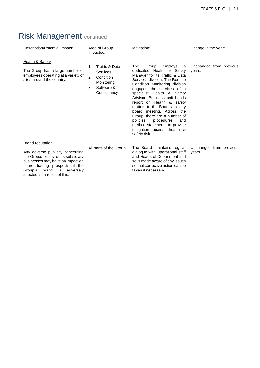# Risk Management continued

| Description/Potential impact:                                                                                                                                                                                                                  | Area of Group<br>impacted:                                                                           | Mitigation:                                                                                                                                                                                                                                                                                                                                                                                                                                                                                       | Change in the year:               |  |
|------------------------------------------------------------------------------------------------------------------------------------------------------------------------------------------------------------------------------------------------|------------------------------------------------------------------------------------------------------|---------------------------------------------------------------------------------------------------------------------------------------------------------------------------------------------------------------------------------------------------------------------------------------------------------------------------------------------------------------------------------------------------------------------------------------------------------------------------------------------------|-----------------------------------|--|
| <b>Health &amp; Safety</b><br>The Group has a large number of<br>employees operating at a variety of<br>sites around the country.                                                                                                              | Traffic & Data<br>1.<br>Services<br>2.<br>Condition<br>Monitoring<br>Software &<br>3.<br>Consultancy | The<br>Group<br>employs<br>а<br>dedicated Health & Safety<br>Manager for its Traffic & Data<br>Services division. The Remote<br>Condition Monitoring division<br>engages the services of a<br>specialist Health & Safety<br>Advisor. Business unit heads<br>report on Health & safety<br>matters to the Board at every<br>board meeting. Across the<br>Group, there are a number of<br>policies, procedures<br>and<br>method statements to provide<br>mitigation against health &<br>safety risk. | Unchanged from previous<br>vears. |  |
| <b>Brand reputation</b><br>Any adverse publicity concerning<br>the Group, or any of its subsidiary<br>businesses may have an impact on<br>future trading prospects if the<br>Group's<br>brand is<br>adversely<br>affected as a result of this. | All parts of the Group                                                                               | The Board maintains regular<br>dialogue with Operational staff<br>and Heads of Department and<br>so is made aware of any issues<br>so that corrective action can be<br>taken if necessary.                                                                                                                                                                                                                                                                                                        | Unchanged from previous<br>years. |  |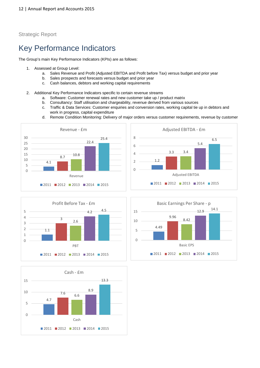# Key Performance Indicators

The Group's main Key Performance Indicators (KPIs) are as follows:

- 1. Assessed at Group Level:
	- a. Sales Revenue and Profit (Adjusted EBITDA and Profit before Tax) versus budget and prior year
	- b. Sales prospects and forecasts versus budget and prior year
	- c. Cash balances, debtors and working capital requirements
- 2. Additional Key Performance Indicators specific to certain revenue streams
	- a. Software: Customer renewal rates and new customer take up / product matrix
	- b. Consultancy: Staff utilisation and chargeability, revenue derived from various sources
	- c. Traffic & Data Services: Customer enquiries and conversion rates, working capital tie up in debtors and work in progress, capital expenditure
	- d. Remote Condition Monitoring: Delivery of major orders versus customer requirements, revenue by customer









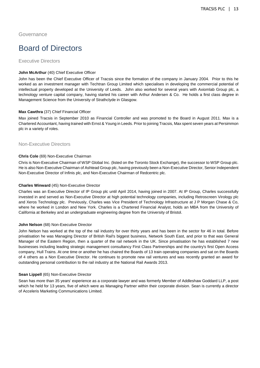### Governance

### Board of Directors

#### Executive Directors

#### **John McArthur (40) Chief Executive Officer**

John has been the Chief Executive Officer of Tracsis since the formation of the company in January 2004. Prior to this he worked as an investment manager with Techtran Group Limited which specialises in developing the commercial potential of intellectual property developed at the University of Leeds. John also worked for several years with Axiomlab Group plc, a technology venture capital company, having started his career with Arthur Andersen & Co. He holds a first class degree in Management Science from the University of Strathclyde in Glasgow.

#### **Max Cawthra** (37) Chief Financial Officer

Max joined Tracsis in September 2010 as Financial Controller and was promoted to the Board in August 2011. Max is a Chartered Accountant, having trained with Ernst & Young in Leeds. Prior to joining Tracsis, Max spent seven years at Persimmon plc in a variety of roles.

#### Non-Executive Directors

#### **Chris Cole** (69) Non-Executive Chairman

Chris is Non-Executive Chairman of WSP Global Inc. (listed on the Toronto Stock Exchange), the successor to WSP Group plc. He is also Non-Executive Chairman of Ashtead Group plc, having previously been a Non-Executive Director, Senior Independent Non-Executive Director of Infinis plc, and Non-Executive Chairman of Redcentric plc.

#### **Charles Winward** (45) Non-Executive Director

Charles was an Executive Director of IP Group plc until April 2014, having joined in 2007. At IP Group, Charles successfully invested in and served as Non-Executive Director at high potential technology companies, including Retroscreen Virology plc and Xeros Technology plc. Previously, Charles was Vice President of Technology Infrastructure at J P Morgan Chase & Co, where he worked in London and New York. Charles is a Chartered Financial Analyst, holds an MBA from the University of California at Berkeley and an undergraduate engineering degree from the University of Bristol.

#### **John Nelson** (68) Non-Executive Director

John Nelson has worked at the top of the rail industry for over thirty years and has been in the sector for 46 in total. Before privatisation he was Managing Director of British Rail's biggest business, Network South East, and prior to that was General Manager of the Eastern Region, then a quarter of the rail network in the UK. Since privatisation he has established 7 new businesses including leading strategic management consultancy First Class Partnerships and the country's first Open Access company, Hull Trains. At one time or another he has chaired the Boards of 13 train operating companies and sat on the Boards of 4 others as a Non Executive Director. He continues to promote new rail ventures and was recently granted an award for outstanding personal contribution to the rail industry at the National Rail Awards 2013.

#### **Sean Lippell** (65) Non-Executive Director

Sean has more than 35 years' experience as a corporate lawyer and was formerly Member of Addleshaw Goddard LLP, a post which he held for 13 years, five of which were as Managing Partner within their corporate division. Sean is currently a director of Acceleris Marketing Communications Limited.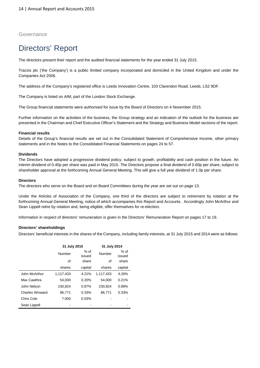### Governance

# Directors' Report

The directors present their report and the audited financial statements for the year ended 31 July 2015.

Tracsis plc ('the Company') is a public limited company incorporated and domiciled in the United Kingdom and under the Companies Act 2006.

The address of the Company's registered office is Leeds Innovation Centre, 103 Clarendon Road, Leeds, LS2 9DF.

The Company is listed on AIM, part of the London Stock Exchange.

The Group financial statements were authorised for issue by the Board of Directors on 4 November 2015.

Further information on the activities of the business, the Group strategy and an indication of the outlook for the business are presented in the Chairman and Chief Executive Officer's Statement and the Strategy and Business Model sections of the report.

#### **Financial results**

Details of the Group's financial results are set out in the Consolidated Statement of Comprehensive Income, other primary statements and in the Notes to the Consolidated Financial Statements on pages 24 to 57.

#### **Dividends**

The Directors have adopted a progressive dividend policy, subject to growth, profitability and cash position in the future. An interim dividend of 0.40p per share was paid in May 2015. The Directors propose a final dividend of 0.60p per share, subject to shareholder approval at the forthcoming Annual General Meeting. This will give a full year dividend of 1.0p per share.

#### **Directors**

The directors who serve on the Board and on Board Committees during the year are set out on page 13.

Under the Articles of Association of the Company, one third of the directors are subject to retirement by rotation at the forthcoming Annual General Meeting, notice of which accompanies this Report and Accounts. Accordingly John McArthur and Sean Lippell retire by rotation and, being eligible, offer themselves for re-election.

Information in respect of directors' remuneration is given in the Directors' Remuneration Report on pages 17 to 19.

#### **Directors' shareholdings**

Directors' beneficial interests in the shares of the Company, including family interests, at 31 July 2015 and 2014 were as follows:

|                 | 31 July 2015               |         | 31 July 2014 |                |
|-----------------|----------------------------|---------|--------------|----------------|
|                 | $%$ of<br>Number<br>issued |         | Number       | % of<br>issued |
|                 | of                         | share   | οf           | share          |
|                 | shares                     | capital | shares       | capital        |
| John McArthur   | 1,117,433                  | 4.21%   | 1.117.433    | 4.26%          |
| Max Cawthra     | 54.000                     | 0.20%   | 54.000       | 0.21%          |
| John Nelson     | 230,824                    | 0.87%   | 230,824      | 0.88%          |
| Charles Winward | 86,771                     | 0.33%   | 86,771       | 0.33%          |
| Chris Cole      | 7.000                      | 0.03%   |              |                |
| Sean Lippell    |                            |         |              |                |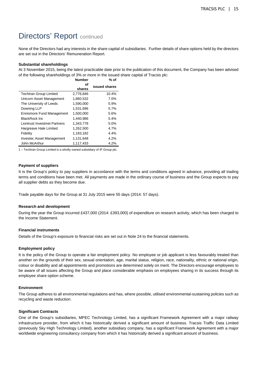### **Directors' Report continued**

None of the Directors had any interests in the share capital of subsidiaries. Further details of share options held by the directors are set out in the Directors' Remuneration Report.

#### **Substantial shareholdings**

At 3 November 2015, being the latest practicable date prior to the publication of this document, the Company has been advised of the following shareholdings of 3% or more in the issued share capital of Tracsis plc:

|                                     | <b>Number</b> | % of          |
|-------------------------------------|---------------|---------------|
|                                     | οf<br>shares  | issued shares |
| <b>Techtran Group Limited</b>       | 2,776,846     | 10.4%         |
| Unicorn Asset Management            | 1,860,532     | 7.0%          |
| The University of Leeds             | 1,590,000     | 5.9%          |
| Downing LLP                         | 1.531.696     | 5.7%          |
| Ennismore Fund Management           | 1,500,000     | 5.6%          |
| <b>BlackRock Inc.</b>               | 1.440.986     | 5.4%          |
| <b>Liontrust Investmet Partners</b> | 1,343,778     | 5.0%          |
| Hargreave Hale Limited              | 1.262.500     | 4.7%          |
| Fidelity                            | 1,183,182     | 4.4%          |
| Investec Asset Management           | 1,131,648     | 4.2%          |
| John McArthur                       | 1,117,433     | 4.2%          |

1 – Techtran Group Limited is a wholly owned subsidiary of IP Group plc.

#### **Payment of suppliers**

It is the Group's policy to pay suppliers in accordance with the terms and conditions agreed in advance, providing all trading terms and conditions have been met. All payments are made in the ordinary course of business and the Group expects to pay all supplier debts as they become due.

Trade payable days for the Group at 31 July 2015 were 55 days (2014: 57 days).

#### **Research and development**

During the year the Group incurred £437,000 (2014: £393,000) of expenditure on research activity, which has been charged to the Income Statement.

#### **Financial instruments**

Details of the Group's exposure to financial risks are set out in Note 24 to the financial statements.

#### **Employment policy**

It is the policy of the Group to operate a fair employment policy. No employee or job applicant is less favourably treated than another on the grounds of their sex, sexual orientation, age, marital status, religion, race, nationality, ethnic or national origin, colour or disability and all appointments and promotions are determined solely on merit. The Directors encourage employees to be aware of all issues affecting the Group and place considerable emphasis on employees sharing in its success through its employee share option scheme.

#### **Environment**

The Group adheres to all environmental regulations and has, where possible, utilised environmental-sustaining policies such as recycling and waste reduction.

#### **Significant Contracts**

One of the Group's subsidiaries, MPEC Technology Limited, has a significant Framework Agreement with a major railway infrastructure provider, from which it has historically derived a significant amount of business. Tracsis Traffic Data Limited (previously Sky High Technology Limited), another subsidiary company, has a significant Framework Agreement with a major worldwide engineering consultancy company from which it has historically derived a significant amount of business.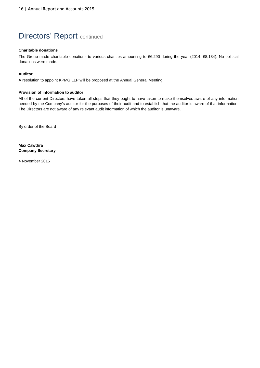# Directors' Report continued

#### **Charitable donations**

The Group made charitable donations to various charities amounting to £6,290 during the year (2014: £8,134). No political donations were made.

#### **Auditor**

A resolution to appoint KPMG LLP will be proposed at the Annual General Meeting.

#### **Provision of information to auditor**

All of the current Directors have taken all steps that they ought to have taken to make themselves aware of any information needed by the Company's auditor for the purposes of their audit and to establish that the auditor is aware of that information. The Directors are not aware of any relevant audit information of which the auditor is unaware.

By order of the Board

**Max Cawthra Company Secretary** 

4 November 2015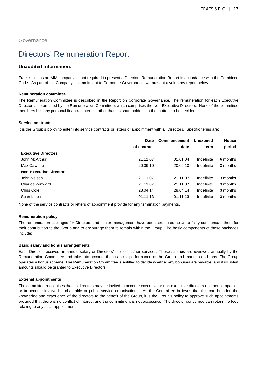Governance

### Directors' Remuneration Report

#### **Unaudited information:**

Tracsis plc, as an AIM company, is not required to present a Directors Remuneration Report in accordance with the Combined Code. As part of the Company's commitment to Corporate Governance, we present a voluntary report below.

#### **Remuneration committee**

The Remuneration Committee is described in the Report on Corporate Governance. The remuneration for each Executive Director is determined by the Remuneration Committee, which comprises the Non-Executive Directors. None of the committee members has any personal financial interest, other than as shareholders, in the matters to be decided.

#### **Service contracts**

It is the Group's policy to enter into service contracts or letters of appointment with all Directors. Specific terms are:

|                                | <b>Date</b> | <b>Commencement</b> | <b>Unexpired</b> | <b>Notice</b> |
|--------------------------------|-------------|---------------------|------------------|---------------|
|                                | of contract | date                | term             | period        |
| <b>Executive Directors</b>     |             |                     |                  |               |
| John McArthur                  | 21.11.07    | 01.01.04            | Indefinite       | 6 months      |
| Max Cawthra                    | 20.09.10    | 20.09.10            | Indefinite       | 3 months      |
| <b>Non-Executive Directors</b> |             |                     |                  |               |
| John Nelson                    | 21.11.07    | 21.11.07            | Indefinite       | 3 months      |
| <b>Charles Winward</b>         | 21.11.07    | 21.11.07            | Indefinite       | 3 months      |
| Chris Cole                     | 28.04.14    | 28.04.14            | Indefinite       | 3 months      |
| Sean Lippell                   | 01.11.13    | 01.11.13            | Indefinite       | 3 months      |

None of the service contracts or letters of appointment provide for any termination payments.

#### **Remuneration policy**

The remuneration packages for Directors and senior management have been structured so as to fairly compensate them for their contribution to the Group and to encourage them to remain within the Group. The basic components of these packages include:

#### **Basic salary and bonus arrangements**

Each Director receives an annual salary or Directors' fee for his/her services. These salaries are reviewed annually by the Remuneration Committee and take into account the financial performance of the Group and market conditions. The Group operates a bonus scheme. The Remuneration Committee is entitled to decide whether any bonuses are payable, and if so, what amounts should be granted to Executive Directors.

#### **External appointments**

The committee recognises that its directors may be invited to become executive or non-executive directors of other companies or to become involved in charitable or public service organisations. As the Committee believes that this can broaden the knowledge and experience of the directors to the benefit of the Group, it is the Group's policy to approve such appointments provided that there is no conflict of interest and the commitment is not excessive. The director concerned can retain the fees relating to any such appointment.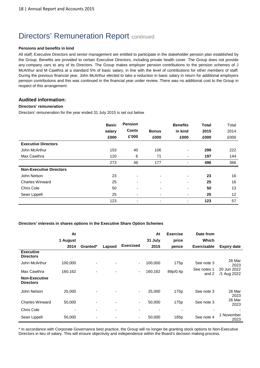# **Directors' Remuneration Report continued**

#### **Pensions and benefits in kind**

All staff, Executive Directors and senior management are entitled to participate in the stakeholder pension plan established by the Group. Benefits are provided to certain Executive Directors, including private health cover. The Group does not provide any company cars to any of its Directors. The Group makes employer pension contributions to the pension schemes of J McArthur and M Cawthra at a standard 5% of basic salary, in line with the level of contributions for other members of staff. During the previous financial year, John McArthur elected to take a reduction in basic salary in return for additional employers pension contributions and this was continued in the financial year under review. There was no additional cost to the Group in respect of this arrangement.

### **Audited information:**

#### **Directors' remuneration**

Directors' remuneration for the year ended 31 July 2015 is set out below

|                                | <b>Basic</b> | <b>Pension</b> |                | <b>Benefits</b> | <b>Total</b> | Total |
|--------------------------------|--------------|----------------|----------------|-----------------|--------------|-------|
|                                | salary       | <b>Conts</b>   | <b>Bonus</b>   | in kind         | 2015         | 2014  |
|                                | £000         | £'000          | £000           | £000            | £000         | £000  |
| <b>Executive Directors</b>     |              |                |                |                 |              |       |
| John McArthur                  | 153          | 40             | 106            | ٠               | 299          | 222   |
| Max Cawthra                    | 120          | 6              | 71             | ۰               | 197          | 144   |
|                                | 273          | 46             | 177            | -               | 496          | 366   |
| <b>Non-Executive Directors</b> |              |                |                |                 |              |       |
| John Nelson                    | 23           | ۰              | $\blacksquare$ | ٠               | 23           | 16    |
| <b>Charles Winward</b>         | 25           | ۰              |                | ۰               | 25           | 16    |
| Chris Cole                     | 50           | ٠              | $\blacksquare$ | ٠               | 50           | 13    |
| Sean Lippell                   | 25           |                |                | ٠               | 25           | 12    |
|                                | 123          | ۰              | $\blacksquare$ | -               | 123          | 57    |

#### **Directors' interests in shares options in the Executive Share Option Schemes**

|                                          | At<br>1 August           |          |                          |                          | At<br>31 July | <b>Exercise</b><br>price | Date from<br>Which   |                            |
|------------------------------------------|--------------------------|----------|--------------------------|--------------------------|---------------|--------------------------|----------------------|----------------------------|
|                                          | 2014                     | Granted* | Lapsed                   | <b>Exercised</b>         | 2015          | pence                    | <b>Exercisable</b>   | <b>Expiry date</b>         |
| <b>Executive</b><br><b>Directors</b>     |                          |          |                          |                          |               |                          |                      |                            |
| John McArthur                            | 100,000                  |          | $\overline{\phantom{0}}$ | $\overline{\phantom{a}}$ | 100,000       | 175p                     | See note 3           | 26 Mar<br>2023             |
| Max Cawthra                              | 160,162                  |          | -                        | $\overline{\phantom{a}}$ | 160,162       | 89p/0.4p                 | See notes 1<br>and 2 | 20 Jun 2022<br>/1 Aug 2022 |
| <b>Non-Executive</b><br><b>Directors</b> |                          |          |                          |                          |               |                          |                      |                            |
| John Nelson                              | 25,000                   |          | $\overline{\phantom{0}}$ | ۰.                       | 25,000        | 175 <sub>p</sub>         | See note 3           | 26 Mar<br>2023             |
| <b>Charles Winward</b>                   | 50,000                   |          | $\overline{\phantom{0}}$ | ٠                        | 50,000        | 175p                     | See note 3           | 26 Mar<br>2023             |
| <b>Chris Cole</b>                        | $\overline{\phantom{0}}$ |          | ٠                        | ٠                        |               | ٠                        | -                    |                            |
| Sean Lippell                             | 50,000                   |          | ٠                        | ٠                        | 50,000        | 185p                     | See note 4           | 1 November<br>2023         |

\* In accordance with Corporate Governance best practice, the Group will no longer be granting stock options to Non-Executive Directors in lieu of salary. This will ensure objectivity and independence within the Board's decision making process.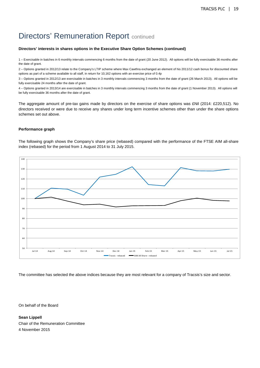### **Directors' Remuneration Report continued**

#### **Directors' interests in shares options in the Executive Share Option Schemes (continued)**

1 – Exercisable in batches in 6 monthly intervals commencing 6 months from the date of grant (20 June 2012). All options will be fully exercisable 36 months after the date of grant.

2 – Options granted in 2012/13 relate to the Company's LTIP scheme where Max Cawthra exchanged an element of his 2011/12 cash bonus for discounted share options as part of a scheme available to all staff, in return for 10,162 options with an exercise price of 0.4p

3 – Options granted in 2012/13 are exercisable in batches in 3 monthly intervals commencing 3 months from the date of grant (26 March 2013). All options will be fully exercisable 24 months after the date of grant.

4 – Options granted in 2013/14 are exercisable in batches in 3 monthly intervals commencing 3 months from the date of grant (1 November 2013). All options will be fully exercisable 36 months after the date of grant.

The aggregate amount of pre-tax gains made by directors on the exercise of share options was £Nil (2014: £220,512). No directors received or were due to receive any shares under long term incentive schemes other than under the share options schemes set out above.

#### **Performance graph**

The following graph shows the Company's share price (rebased) compared with the performance of the FTSE AIM all-share index (rebased) for the period from 1 August 2014 to 31 July 2015.



The committee has selected the above indices because they are most relevant for a company of Tracsis's size and sector.

On behalf of the Board

**Sean Lippell**  Chair of the Remuneration Committee 4 November 2015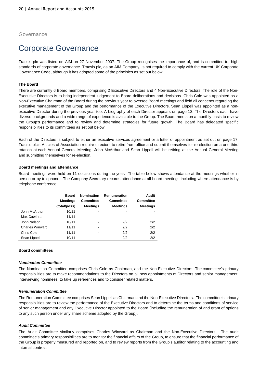### Governance

### Corporate Governance

Tracsis plc was listed on AIM on 27 November 2007. The Group recognises the importance of, and is committed to, high standards of corporate governance. Tracsis plc, as an AIM Company, is not required to comply with the current UK Corporate Governance Code, although it has adopted some of the principles as set out below.

#### **The Board**

There are currently 6 Board members, comprising 2 Executive Directors and 4 Non-Executive Directors. The role of the Non-Executive Directors is to bring independent judgement to Board deliberations and decisions. Chris Cole was appointed as a Non-Executive Chairman of the Board during the previous year to oversee Board meetings and field all concerns regarding the executive management of the Group and the performance of the Executive Directors. Sean Lippell was appointed as a nonexecutive Director during the previous year too. A biography of each Director appears on page 13. The Directors each have diverse backgrounds and a wide range of experience is available to the Group. The Board meets on a monthly basis to review the Group's performance and to review and determine strategies for future growth. The Board has delegated specific responsibilities to its committees as set out below.

Each of the Directors is subject to either an executive services agreement or a letter of appointment as set out on page 17. Tracsis plc's Articles of Association require directors to retire from office and submit themselves for re-election on a one third rotation at each Annual General Meeting. John McArthur and Sean Lippell will be retiring at the Annual General Meeting and submitting themselves for re-election.

#### **Board meetings and attendance**

Board meetings were held on 11 occasions during the year. The table below shows attendance at the meetings whether in person or by telephone. The Company Secretary records attendance at all board meetings including where attendance is by telephone conference.

|                        | <b>Board</b>    | <b>Nomination</b> | Remuneration     | Audit            |
|------------------------|-----------------|-------------------|------------------|------------------|
|                        | <b>Meetings</b> | <b>Committee</b>  | <b>Committee</b> | <b>Committee</b> |
|                        | (total/poss)    | <b>Meetings</b>   | <b>Meetings</b>  | <b>Meetings</b>  |
| John McArthur          | 10/11           |                   | ٠                |                  |
| Max Cawthra            | 11/11           | -                 | ٠                | -                |
| John Nelson            | 10/11           |                   | 2/2              | 2/2              |
| <b>Charles Winward</b> | 11/11           |                   | 2/2              | 2/2              |
| Chris Cole             | 11/11           |                   | 2/2              | 2/2              |
| Sean Lippell           | 10/11           |                   | 2/2              | 2/2              |

#### **Board committees**

#### **Nomination Committee**

The Nomination Committee comprises Chris Cole as Chairman, and the Non-Executive Directors. The committee's primary responsibilities are to make recommendations to the Directors on all new appointments of Directors and senior management, interviewing nominees, to take up references and to consider related matters.

#### **Remuneration Committee**

The Remuneration Committee comprises Sean Lippell as Chairman and the Non-Executive Directors. The committee's primary responsibilities are to review the performance of the Executive Directors and to determine the terms and conditions of service of senior management and any Executive Director appointed to the Board (including the remuneration of and grant of options to any such person under any share scheme adopted by the Group).

#### **Audit Committee**

The Audit Committee similarly comprises Charles Winward as Chairman and the Non-Executive Directors. The audit committee's primary responsibilities are to monitor the financial affairs of the Group, to ensure that the financial performance of the Group is properly measured and reported on, and to review reports from the Group's auditor relating to the accounting and internal controls.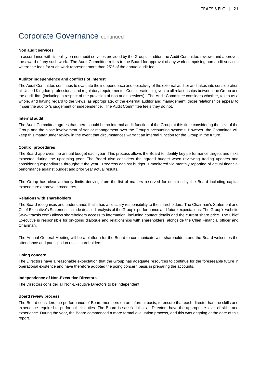## **Corporate Governance continued**

#### **Non audit services**

In accordance with its policy on non audit services provided by the Group's auditor, the Audit Committee reviews and approves the award of any such work. The Audit Committee refers to the Board for approval of any work comprising non audit services where the fees for such work represent more than 25% of the annual audit fee.

#### **Auditor independence and conflicts of interest**

The Audit Committee continues to evaluate the independence and objectivity of the external auditor and takes into consideration all United Kingdom professional and regulatory requirements. Consideration is given to all relationships between the Group and the audit firm (including in respect of the provision of non audit services). The Audit Committee considers whether, taken as a whole, and having regard to the views, as appropriate, of the external auditor and management, those relationships appear to impair the auditor's judgement or independence. The Audit Committee feels they do not.

#### **Internal audit**

The Audit Committee agrees that there should be no internal audit function of the Group at this time considering the size of the Group and the close involvement of senior management over the Group's accounting systems. However, the Committee will keep this matter under review in the event that circumstances warrant an internal function for the Group in the future.

#### **Control procedures**

The Board approves the annual budget each year. This process allows the Board to identify key performance targets and risks expected during the upcoming year. The Board also considers the agreed budget when reviewing trading updates and considering expenditures throughout the year. Progress against budget is monitored via monthly reporting of actual financial performance against budget and prior year actual results.

The Group has clear authority limits deriving from the list of matters reserved for decision by the Board including capital expenditure approval procedures.

#### **Relations with shareholders**

The Board recognises and understands that it has a fiduciary responsibility to the shareholders. The Chairman's Statement and Chief Executive's Statement include detailed analysis of the Group's performance and future expectations. The Group's website (www.tracsis.com) allows shareholders access to information, including contact details and the current share price. The Chief Executive is responsible for on-going dialogue and relationships with shareholders, alongside the Chief Financial officer and Chairman.

The Annual General Meeting will be a platform for the Board to communicate with shareholders and the Board welcomes the attendance and participation of all shareholders.

#### **Going concern**

The Directors have a reasonable expectation that the Group has adequate resources to continue for the foreseeable future in operational existence and have therefore adopted the going concern basis in preparing the accounts.

#### **Independence of Non-Executive Directors**

The Directors consider all Non-Executive Directors to be independent.

#### **Board review process**

The Board considers the performance of Board members on an informal basis, to ensure that each director has the skills and experience required to perform their duties. The Board is satisfied that all Directors have the appropriate level of skills and experience. During the year, the Board commenced a more formal evaluation process, and this was ongoing at the date of this report.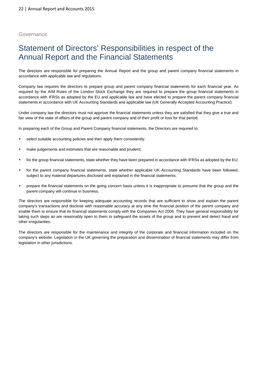### Governance

### Statement of Directors' Responsibilities in respect of the Annual Report and the Financial Statements

The directors are responsible for preparing the Annual Report and the group and parent company financial statements in accordance with applicable law and regulations.

Company law requires the directors to prepare group and parent company financial statements for each financial year. As required by the AIM Rules of the London Stock Exchange they are required to prepare the group financial statements in accordance with IFRSs as adopted by the EU and applicable law and have elected to prepare the parent company financial statements in accordance with UK Accounting Standards and applicable law (UK Generally Accepted Accounting Practice).

Under company law the directors must not approve the financial statements unless they are satisfied that they give a true and fair view of the state of affairs of the group and parent company and of their profit or loss for that period.

In preparing each of the Group and Parent Company financial statements, the Directors are required to:

- select suitable accounting policies and then apply them consistently;
- make judgements and estimates that are reasonable and prudent;
- for the group financial statements, state whether they have been prepared in accordance with IFRSs as adopted by the EU;
- for the parent company financial statements, state whether applicable UK Accounting Standards have been followed, subject to any material departures disclosed and explained in the financial statements;
- prepare the financial statements on the going concern basis unless it is inappropriate to presume that the group and the parent company will continue in business.

The directors are responsible for keeping adequate accounting records that are sufficient to show and explain the parent company's transactions and disclose with reasonable accuracy at any time the financial position of the parent company and enable them to ensure that its financial statements comply with the Companies Act 2006. They have general responsibility for taking such steps as are reasonably open to them to safeguard the assets of the group and to prevent and detect fraud and other irregularities.

The directors are responsible for the maintenance and integrity of the corporate and financial information included on the company's website. Legislation in the UK governing the preparation and dissemination of financial statements may differ from legislation in other jurisdictions.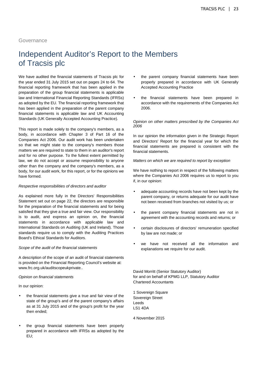#### Governance

### Independent Auditor's Report to the Members of Tracsis plc

We have audited the financial statements of Tracsis plc for the year ended 31 July 2015 set out on pages 24 to 64. The financial reporting framework that has been applied in the preparation of the group financial statements is applicable law and International Financial Reporting Standards (IFRSs) as adopted by the EU. The financial reporting framework that has been applied in the preparation of the parent company financial statements is applicable law and UK Accounting Standards (UK Generally Accepted Accounting Practice).

This report is made solely to the company's members, as a body, in accordance with Chapter 3 of Part 16 of the Companies Act 2006. Our audit work has been undertaken so that we might state to the company's members those matters we are required to state to them in an auditor's report and for no other purpose. To the fullest extent permitted by law, we do not accept or assume responsibility to anyone other than the company and the company's members, as a body, for our audit work, for this report, or for the opinions we have formed.

#### Respective responsibilities of directors and auditor

As explained more fully in the Directors' Responsibilities Statement set out on page 22, the directors are responsible for the preparation of the financial statements and for being satisfied that they give a true and fair view. Our responsibility is to audit, and express an opinion on, the financial statements in accordance with applicable law and International Standards on Auditing (UK and Ireland). Those standards require us to comply with the Auditing Practices Board's Ethical Standards for Auditors.

#### Scope of the audit of the financial statements

A description of the scope of an audit of financial statements is provided on the Financial Reporting Council's website at: www.frc.org.uk/auditscopeukprivate..

#### Opinion on financial statements

In our opinion:

- the financial statements give a true and fair view of the state of the group's and of the parent company's affairs as at 31 July 2015 and of the group's profit for the year then ended;
- the group financial statements have been properly prepared in accordance with IFRSs as adopted by the EU;
- the parent company financial statements have been properly prepared in accordance with UK Generally Accepted Accounting Practice
- the financial statements have been prepared in accordance with the requirements of the Companies Act 2006.

Opinion on other matters prescribed by the Companies Act 2006

In our opinion the information given in the Strategic Report and Directors' Report for the financial year for which the financial statements are prepared is consistent with the financial statements.

Matters on which we are required to report by exception

We have nothing to report in respect of the following matters where the Companies Act 2006 requires us to report to you if, in our opinion:

- adequate accounting records have not been kept by the parent company, or returns adequate for our audit have not been received from branches not visited by us; or
- the parent company financial statements are not in agreement with the accounting records and returns; or
- certain disclosures of directors' remuneration specified by law are not made; or
- we have not received all the information and explanations we require for our audit.

David Morritt (Senior Statutory Auditor) for and on behalf of KPMG LLP, Statutory Auditor Chartered Accountants

1 Sovereign Square Sovereign Street Leeds LS1 4DA

4 November 2015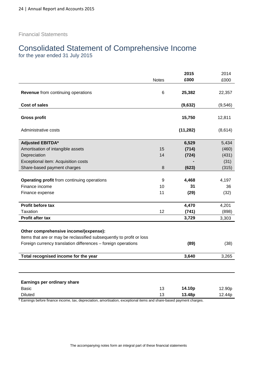### Consolidated Statement of Comprehensive Income for the year ended 31 July 2015

|                                                                      |              | 2015      | 2014     |
|----------------------------------------------------------------------|--------------|-----------|----------|
|                                                                      | <b>Notes</b> | £000      | £000     |
|                                                                      |              |           |          |
| Revenue from continuing operations                                   | 6            | 25,382    | 22,357   |
| <b>Cost of sales</b>                                                 |              | (9,632)   | (9, 546) |
|                                                                      |              |           |          |
| <b>Gross profit</b>                                                  |              | 15,750    | 12,811   |
| Administrative costs                                                 |              | (11, 282) | (8,614)  |
|                                                                      |              |           |          |
| <b>Adjusted EBITDA*</b>                                              |              | 6,529     | 5,434    |
| Amortisation of intangible assets                                    | 15           | (714)     | (460)    |
| Depreciation                                                         | 14           | (724)     | (431)    |
| Exceptional item: Acquisition costs                                  |              |           | (31)     |
| Share-based payment charges                                          | 8            | (623)     | (315)    |
|                                                                      |              |           |          |
| <b>Operating profit from continuing operations</b>                   | 9            | 4,468     | 4,197    |
| Finance income                                                       | 10           | 31        | 36       |
| Finance expense                                                      | 11           | (29)      | (32)     |
| Profit before tax                                                    |              | 4,470     | 4,201    |
| <b>Taxation</b>                                                      | 12           | (741)     | (898)    |
| <b>Profit after tax</b>                                              |              | 3,729     | 3,303    |
|                                                                      |              |           |          |
| Other comprehensive income/(expense):                                |              |           |          |
| Items that are or may be reclassified subsequently to profit or loss |              |           |          |
| Foreign currency translation differences - foreign operations        |              | (89)      | (38)     |
|                                                                      |              |           |          |
| Total recognised income for the year                                 |              | 3,640     | 3,265    |
|                                                                      |              |           |          |
|                                                                      |              |           |          |
| Earnings per ordinary share                                          |              |           |          |
| Basic                                                                | 13           | 14.10p    | 12.90p   |
| <b>Diluted</b>                                                       | 13           | 13.48p    | 12.44p   |

\* Earnings before finance income, tax, depreciation, amortisation, exceptional items and share-based payment charges.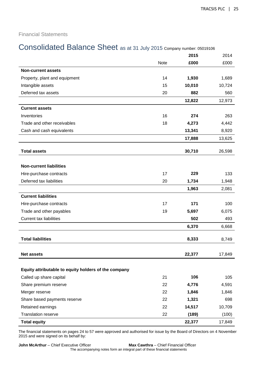## Consolidated Balance Sheet as at 31 July 2015 Company number: 05019106

|                                                      |             | 2015   | 2014   |
|------------------------------------------------------|-------------|--------|--------|
|                                                      | <b>Note</b> | £000   | £000   |
| <b>Non-current assets</b>                            |             |        |        |
| Property, plant and equipment                        | 14          | 1,930  | 1,689  |
| Intangible assets                                    | 15          | 10,010 | 10,724 |
| Deferred tax assets                                  | 20          | 882    | 560    |
|                                                      |             | 12,822 | 12,973 |
| <b>Current assets</b>                                |             |        |        |
| Inventories                                          | 16          | 274    | 263    |
| Trade and other receivables                          | 18          | 4,273  | 4,442  |
| Cash and cash equivalents                            |             | 13,341 | 8,920  |
|                                                      |             | 17,888 | 13,625 |
|                                                      |             |        |        |
| <b>Total assets</b>                                  |             | 30,710 | 26,598 |
|                                                      |             |        |        |
| <b>Non-current liabilities</b>                       |             |        |        |
| Hire-purchase contracts                              | 17          | 229    | 133    |
| Deferred tax liabilities                             | 20          | 1,734  | 1,948  |
|                                                      |             | 1,963  | 2,081  |
| <b>Current liabilities</b>                           |             |        |        |
| Hire-purchase contracts                              | 17          | 171    | 100    |
| Trade and other payables                             | 19          | 5,697  | 6,075  |
| <b>Current tax liabilities</b>                       |             | 502    | 493    |
|                                                      |             | 6,370  | 6,668  |
| <b>Total liabilities</b>                             |             | 8,333  | 8,749  |
|                                                      |             |        |        |
| <b>Net assets</b>                                    |             | 22,377 | 17,849 |
|                                                      |             |        |        |
| Equity attributable to equity holders of the company |             |        |        |
| Called up share capital                              | 21          | 106    | 105    |
| Share premium reserve                                | 22          | 4,776  | 4,591  |
| Merger reserve                                       | 22          | 1,846  | 1,846  |
| Share based payments reserve                         | 22          | 1,321  | 698    |
| Retained earnings                                    | 22          | 14,517 | 10,709 |
| <b>Translation reserve</b>                           | 22          | (189)  | (100)  |
| <b>Total equity</b>                                  |             | 22,377 | 17,849 |

The financial statements on pages 24 to 57 were approved and authorised for issue by the Board of Directors on 4 November 2015 and were signed on its behalf by: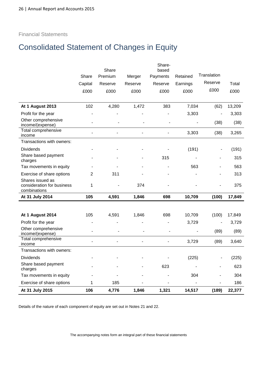# Consolidated Statement of Changes in Equity

|                                                                |         | Share   |         | Share-<br>based |                |             |        |
|----------------------------------------------------------------|---------|---------|---------|-----------------|----------------|-------------|--------|
|                                                                | Share   | Premium | Merger  | Payments        | Retained       | Translation |        |
|                                                                | Capital | Reserve | Reserve | Reserve         | Earnings       | Reserve     | Total  |
|                                                                | £000    | £000    | £000    | £000            | £000           | £000        | £000   |
|                                                                |         |         |         |                 |                |             |        |
| <b>At 1 August 2013</b>                                        | 102     | 4,280   | 1,472   | 383             | 7,034          | (62)        | 13,209 |
| Profit for the year                                            |         |         |         |                 | 3,303          |             | 3,303  |
| Other comprehensive<br>income/(expense)                        |         |         |         |                 | $\blacksquare$ | (38)        | (38)   |
| Total comprehensive<br>income                                  |         |         |         |                 | 3,303          | (38)        | 3,265  |
| Transactions with owners:                                      |         |         |         |                 |                |             |        |
| <b>Dividends</b>                                               |         |         |         |                 | (191)          |             | (191)  |
| Share based payment<br>charges                                 |         |         |         | 315             |                |             | 315    |
| Tax movements in equity                                        |         |         |         |                 | 563            |             | 563    |
| Exercise of share options                                      | 2       | 311     |         |                 |                |             | 313    |
| Shares issued as<br>consideration for business<br>combinations | 1       |         | 374     |                 |                |             | 375    |
| At 31 July 2014                                                | 105     | 4,591   | 1,846   | 698             | 10,709         | (100)       | 17,849 |
|                                                                |         |         |         |                 |                |             |        |
| At 1 August 2014                                               | 105     | 4,591   | 1,846   | 698             | 10,709         | (100)       | 17,849 |
| Profit for the year                                            |         |         |         |                 | 3,729          |             | 3,729  |
| Other comprehensive<br>income/(expense)                        |         |         |         |                 |                | (89)        | (89)   |
| Total comprehensive<br>income                                  |         |         |         |                 | 3,729          | (89)        | 3,640  |
| Transactions with owners:                                      |         |         |         |                 |                |             |        |
| Dividends                                                      |         |         |         |                 | (225)          |             | (225)  |
| Share based payment<br>charges                                 |         |         |         | 623             |                |             | 623    |
| Tax movements in equity                                        |         |         |         |                 | 304            |             | 304    |
| Exercise of share options                                      | 1       | 185     |         |                 |                |             | 186    |
| At 31 July 2015                                                | 106     | 4,776   | 1,846   | 1,321           | 14,517         | (189)       | 22,377 |

Details of the nature of each component of equity are set out in Notes 21 and 22.

The accompanying notes form an integral part of these financial statements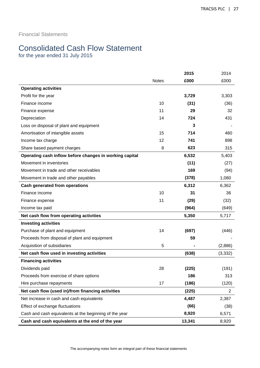# Consolidated Cash Flow Statement

for the year ended 31 July 2015

|                                                         |              | 2015   | 2014           |
|---------------------------------------------------------|--------------|--------|----------------|
|                                                         | <b>Notes</b> | £000   | £000           |
| <b>Operating activities</b>                             |              |        |                |
| Profit for the year                                     |              | 3,729  | 3,303          |
| Finance income                                          | 10           | (31)   | (36)           |
| Finance expense                                         | 11           | 29     | 32             |
| Depreciation                                            | 14           | 724    | 431            |
| Loss on disposal of plant and equipment                 |              | 3      |                |
| Amortisation of intangible assets                       | 15           | 714    | 460            |
| Income tax charge                                       | 12           | 741    | 898            |
| Share based payment charges                             | 8            | 623    | 315            |
| Operating cash inflow before changes in working capital |              | 6,532  | 5,403          |
| Movement in inventories                                 |              | (11)   | (27)           |
| Movement in trade and other receivables                 |              | 169    | (94)           |
| Movement in trade and other payables                    |              | (378)  | 1,080          |
| <b>Cash generated from operations</b>                   |              | 6,312  | 6,362          |
| Finance income                                          | 10           | 31     | 36             |
| Finance expense                                         | 11           | (29)   | (32)           |
| Income tax paid                                         |              | (964)  | (649)          |
| Net cash flow from operating activities                 |              | 5,350  | 5,717          |
| <b>Investing activities</b>                             |              |        |                |
| Purchase of plant and equipment                         | 14           | (697)  | (446)          |
| Proceeds from disposal of plant and equipment           |              | 59     |                |
| Acquisition of subsidiaries                             | 5            |        | (2,886)        |
| Net cash flow used in investing activities              |              | (638)  | (3, 332)       |
| <b>Financing activities</b>                             |              |        |                |
| Dividends paid                                          | 28           | (225)  | (191)          |
| Proceeds from exercise of share options                 |              | 186    | 313            |
| Hire purchase repayments                                | 17           | (186)  | (120)          |
| Net cash flow (used in)/from financing activities       |              | (225)  | $\overline{2}$ |
| Net increase in cash and cash equivalents               |              | 4,487  | 2,387          |
| Effect of exchange fluctuations                         |              | (66)   | (38)           |
| Cash and cash equivalents at the beginning of the year  |              | 8,920  | 6,571          |
| Cash and cash equivalents at the end of the year        |              | 13,341 | 8,920          |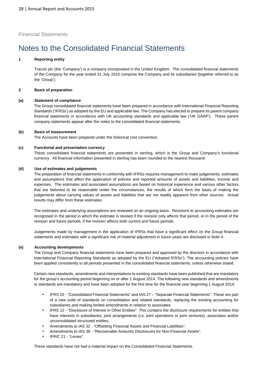### Notes to the Consolidated Financial Statements

#### **1 Reporting entity**

Tracsis plc (the 'Company') is a company incorporated in the United Kingdom. The consolidated financial statements of the Company for the year ended 31 July 2015 comprise the Company and its subsidiaries (together referred to as the 'Group').

#### **2 Basis of preparation**

#### **(a) Statement of compliance**

The Group consolidated financial statements have been prepared in accordance with International Financial Reporting Standards ('IFRSs') as adopted by the EU and applicable law. The Company has elected to prepare its parent company financial statements in accordance with UK accounting standards and applicable law ('UK GAAP'). These parent company statements appear after the notes to the consolidated financial statements.

#### **(b) Basis of measurement**

The Accounts have been prepared under the historical cost convention.

#### **(c) Functional and presentation currency**

These consolidated financial statements are presented in sterling, which is the Group and Company's functional currency. All financial information presented in sterling has been rounded to the nearest thousand.

#### **(d) Use of estimates and judgements**

The preparation of financial statements in conformity with IFRSs requires management to make judgements, estimates and assumptions that affect the application of policies and reported amounts of assets and liabilities, income and expenses. The estimates and associated assumptions are based on historical experience and various other factors that are believed to be reasonable under the circumstances, the results of which form the basis of making the judgements about carrying values of assets and liabilities that are not readily apparent from other sources. Actual results may differ from these estimates.

The estimates and underlying assumptions are reviewed on an ongoing basis. Revisions to accounting estimates are recognised in the period in which the estimate is revised if the revision only affects that period, or in the period of the revision and future periods, if the revision affects both current and future periods.

Judgements made by management in the application of IFRSs that have a significant effect on the Group financial statements and estimates with a significant risk of material adjustment in future years are disclosed in Note 4.

#### **(e) Accounting developments**

The Group and Company financial statements have been prepared and approved by the directors in accordance with International Financial Reporting Standards as adopted by the EU ("Adopted IFRSs"). The accounting policies have been applied consistently to all periods presented in the consolidated financial statements, unless otherwise stated.

Certain new standards, amendments and interpretations to existing standards have been published that are mandatory for the group's accounting period beginning on or after 1 August 2014. The following new standards and amendments to standards are mandatory and have been adopted for the first time for the financial year beginning 1 August 2014:

- IFRS 10 "Consolidated Financial Statements" and IAS 27 "Separate Financial Statements". These are part of a new suite of standards on consolidation and related standards, replacing the existing accounting for subsidiaries and making limited amendments in relation to associates.
- IFRS 12 "Disclosure of Interest in Other Entities". This contains the disclosure requirements for entities that have interests in subsidiaries, joint arrangements (i.e. joint operations or joint ventures), associates and/or unconsolidated structured entities.
- Amendments to IAS 32 "Offsetting Financial Assets and Financial Liabilities".
- Amendments to IAS 36 "Recoverable Amounts Disclosures for Non-Financial Assets".
- IFRIC 21 "Levies".

These standards have not had a material impact on the Consolidated Financial Statements.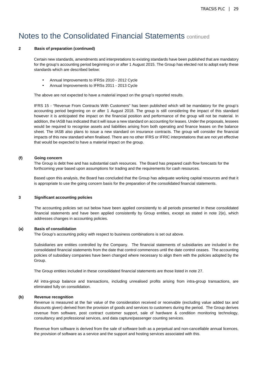#### **2 Basis of preparation (continued)**

Certain new standards, amendments and interpretations to existing standards have been published that are mandatory for the group's accounting period beginning on or after 1 August 2015. The Group has elected not to adopt early these standards which are described below:

- Annual Improvements to IFRSs 2010 2012 Cycle
- Annual Improvements to IFRSs 2011 2013 Cycle

The above are not expected to have a material impact on the group's reported results.

IFRS 15 - "Revenue From Contracts With Customers" has been published which will be mandatory for the group's accounting period beginning on or after 1 August 2018. The group is still considering the impact of this standard however it is anticipated the impact on the financial position and performance of the group will not be material. In addition, the IASB has indicated that it will issue a new standard on accounting for leases. Under the proposals, lessees would be required to recognise assets and liabilities arising from both operating and finance leases on the balance sheet. The IASB also plans to issue a new standard on insurance contracts. The group will consider the financial impacts of this new standard when finalised. There are no other IFRS or IFRIC interpretations that are not yet effective that would be expected to have a material impact on the group.

#### **(f) Going concern**

The Group is debt free and has substantial cash resources. The Board has prepared cash flow forecasts for the forthcoming year based upon assumptions for trading and the requirements for cash resources.

Based upon this analysis, the Board has concluded that the Group has adequate working capital resources and that it is appropriate to use the going concern basis for the preparation of the consolidated financial statements.

#### **3 Significant accounting policies**

The accounting policies set out below have been applied consistently to all periods presented in these consolidated financial statements and have been applied consistently by Group entities, except as stated in note 2(e), which addresses changes in accounting policies.

#### **(a) Basis of consolidation**

The Group's accounting policy with respect to business combinations is set out above.

Subsidiaries are entities controlled by the Company. The financial statements of subsidiaries are included in the consolidated financial statements from the date that control commences until the date control ceases. The accounting policies of subsidiary companies have been changed where necessary to align them with the policies adopted by the Group.

The Group entities included in these consolidated financial statements are those listed in note 27.

All intra-group balance and transactions, including unrealised profits arising from intra-group transactions, are eliminated fully on consolidation.

#### **(b) Revenue recognition**

Revenue is measured at the fair value of the consideration received or receivable (excluding value added tax and discounts given) derived from the provision of goods and services to customers during the period. The Group derives revenue from software, post contract customer support, sale of hardware & condition monitoring technology, consultancy and professional services, and data capture/passenger counting services.

Revenue from software is derived from the sale of software both as a perpetual and non-cancellable annual licences, the provision of software as a service and the support and hosting services associated with this.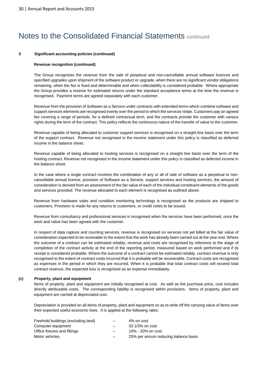#### **3 Significant accounting policies (continued)**

#### **Revenue recognition (continued)**

The Group recognises the revenue from the sale of perpetual and non-cancellable annual software licences and specified upgrades upon shipment of the software product or upgrade, when there are no significant vendor obligations remaining, when the fee is fixed and determinable and when collectability is considered probable. Where appropriate the Group provides a reserve for estimated returns under the standard acceptance terms at the time the revenue is recognised. Payment terms are agreed separately with each customer.

Revenue from the provision of Software as a Service under contracts with extended terms which combine software and support services elements are recognised evenly over the period to which the services relate. Customers pay an agreed fee covering a range of periods, for a defined contractual term, and the contracts provide the customer with various rights during the term of the contract. This policy reflects the continuous nature of the transfer of value to the customer.

Revenue capable of being allocated to customer support services is recognised on a straight-line basis over the term of the support contract. Revenue not recognised in the income statement under this policy is classified as deferred income in the balance sheet.

Revenue capable of being allocated to hosting services is recognised on a straight line basis over the term of the hosting contract. Revenue not recognised in the income statement under this policy is classified as deferred income in the balance sheet.

In the case where a single contract involves the combination of any or all of sale of software as a perpetual or noncancellable annual licence, provision of Software as a Service, support services and hosting services, the amount of consideration is derived from an assessment of the fair value of each of the individual constituent elements of the goods and services provided. The revenue allocated to each element is recognised as outlined above.

Revenue from hardware sales and condition monitoring technology is recognised as the products are shipped to customers. Provision is made for any returns to customers, or credit notes to be issued.

Revenue from consultancy and professional services is recognised when the services have been performed, once the work and value has been agreed with the customer.

In respect of data capture and counting services, revenue is recognised on services not yet billed at the fair value of consideration expected to be receivable to the extent that the work has already been carried out at the year end. Where the outcome of a contract can be estimated reliably, revenue and costs are recognised by reference to the stage of completion of the contract activity at the end of the reporting period, measured based on work performed and if its receipt is considered probable. Where the outcome of a contract cannot be estimated reliably, contract revenue is only recognised to the extent of contract costs incurred that it is probable will be recoverable. Contract costs are recognised as expenses in the period in which they are incurred. When it is probable that total contract costs will exceed total contract revenue, the expected loss is recognised as an expense immediately.

#### **(c) Property, plant and equipment**

Items of property, plant and equipment are initially recognised at cost. As well as the purchase price, cost includes directly attributable costs. The corresponding liability is recognised within provisions. Items of property, plant and equipment are carried at depreciated cost.

Depreciation is provided on all items of property, plant and equipment so as to write off the carrying value of items over their expected useful economic lives. It is applied at the following rates:

| Freehold buildings (excluding land) | 4% on cost                           |
|-------------------------------------|--------------------------------------|
| Computer equipment                  | 33 1/3% on cost                      |
| Office fixtures and fittings        | 10% - 20% on cost                    |
| Motor vehicles                      | 25% per annum reducing balance basis |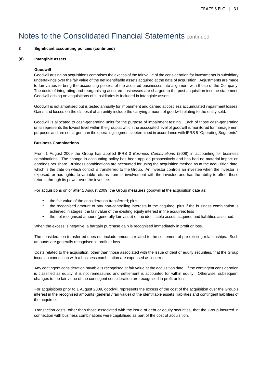#### **3 Significant accounting policies (continued)**

#### **(d) Intangible assets**

#### **Goodwill**

Goodwill arising on acquisitions comprises the excess of the fair value of the consideration for investments in subsidiary undertakings over the fair value of the net identifiable assets acquired at the date of acquisition. Adjustments are made to fair values to bring the accounting policies of the acquired businesses into alignment with those of the Company. The costs of integrating and reorganising acquired businesses are charged to the post acquisition income statement. Goodwill arising on acquisitions of subsidiaries is included in intangible assets.

Goodwill is not amortised but is tested annually for impairment and carried at cost less accumulated impairment losses. Gains and losses on the disposal of an entity include the carrying amount of goodwill relating to the entity sold.

Goodwill is allocated to cash-generating units for the purpose of impairment testing. Each of those cash-generating units represents the lowest level within the group at which the associated level of goodwill is monitored for management purposes and are not larger than the operating segments determined in accordance with IFRS 8 "Operating Segments".

#### **Business Combinations**

From 1 August 2009 the Group has applied IFRS 3 Business Combinations (2008) in accounting for business combinations. The change in accounting policy has been applied prospectively and has had no material impact on earnings per share. Business combinations are accounted for using the acquisition method as at the acquisition date, which is the date on which control is transferred to the Group. An investor controls an investee when the investor is exposed, or has rights, to variable returns from its involvement with the investee and has the ability to affect those returns through its power over the investee.

For acquisitions on or after 1 August 2009, the Group measures goodwill at the acquisition date as:

- the fair value of the consideration transferred; plus
- the recognised amount of any non-controlling interests in the acquiree; plus if the business combination is achieved in stages, the fair value of the existing equity interest in the acquiree; less
- the net recognised amount (generally fair value) of the identifiable assets acquired and liabilities assumed.

When the excess is negative, a bargain purchase gain is recognised immediately in profit or loss.

The consideration transferred does not include amounts related to the settlement of pre-existing relationships. Such amounts are generally recognised in profit or loss.

Costs related to the acquisition, other than those associated with the issue of debt or equity securities, that the Group incurs in connection with a business combination are expensed as incurred.

Any contingent consideration payable is recognised at fair value at the acquisition date. If the contingent consideration is classified as equity, it is not remeasured and settlement is accounted for within equity. Otherwise, subsequent changes to the fair value of the contingent consideration are recognised in profit or loss.

For acquisitions prior to 1 August 2009, goodwill represents the excess of the cost of the acquisition over the Group's interest in the recognised amounts (generally fair value) of the identifiable assets, liabilities and contingent liabilities of the acquiree.

Transaction costs, other than those associated with the issue of debt or equity securities, that the Group incurred in connection with business combinations were capitalised as part of the cost of acquisition.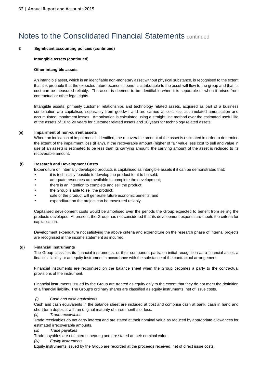#### **3 Significant accounting policies (continued)**

#### **Intangible assets (continued)**

#### **Other intangible assets**

An intangible asset, which is an identifiable non-monetary asset without physical substance, is recognised to the extent that it is probable that the expected future economic benefits attributable to the asset will flow to the group and that its cost can be measured reliably. The asset is deemed to be identifiable when it is separable or when it arises from contractual or other legal rights.

Intangible assets, primarily customer relationships and technology related assets, acquired as part of a business combination are capitalised separately from goodwill and are carried at cost less accumulated amortisation and accumulated impairment losses. Amortisation is calculated using a straight line method over the estimated useful life of the assets of 10 to 20 years for customer related assets and 10 years for technology related assets.

#### **(e) Impairment of non-current assets**

Where an indication of impairment is identified, the recoverable amount of the asset is estimated in order to determine the extent of the impairment loss (if any). If the recoverable amount (higher of fair value less cost to sell and value in use of an asset) is estimated to be less than its carrying amount, the carrying amount of the asset is reduced to its recoverable amount.

#### **(f) Research and Development Costs**

Expenditure on internally developed products is capitalised as intangible assets if it can be demonstrated that:

- it is technically feasible to develop the product for it to be sold;
- adequate resources are available to complete the development;
- there is an intention to complete and sell the product;
- the Group is able to sell the product;
- sale of the product will generate future economic benefits; and
- expenditure on the project can be measured reliably.

Capitalised development costs would be amortised over the periods the Group expected to benefit from selling the products developed. At present, the Group has not considered that its development expenditure meets the criteria for capitalisation.

Development expenditure not satisfying the above criteria and expenditure on the research phase of internal projects are recognised in the income statement as incurred.

#### **(g) Financial instruments**

The Group classifies its financial instruments, or their component parts, on initial recognition as a financial asset, a financial liability or an equity instrument in accordance with the substance of the contractual arrangement.

Financial instruments are recognised on the balance sheet when the Group becomes a party to the contractual provisions of the instrument.

Financial instruments issued by the Group are treated as equity only to the extent that they do not meet the definition of a financial liability. The Group's ordinary shares are classified as equity instruments, net of issue costs.

#### (i) Cash and cash equivalents

Cash and cash equivalents in the balance sheet are included at cost and comprise cash at bank, cash in hand and short term deposits with an original maturity of three months or less.

(ii) Trade receivables

Trade receivables do not carry interest and are stated at their nominal value as reduced by appropriate allowances for estimated irrecoverable amounts.

(iii) Trade payables

Trade payables are not interest bearing and are stated at their nominal value.

(iv) Equity instruments

Equity instruments issued by the Group are recorded at the proceeds received, net of direct issue costs.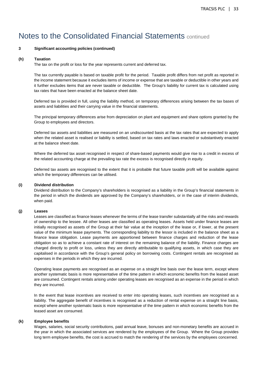#### **3 Significant accounting policies (continued)**

#### **(h) Taxation**

The tax on the profit or loss for the year represents current and deferred tax.

The tax currently payable is based on taxable profit for the period. Taxable profit differs from net profit as reported in the income statement because it excludes items of income or expense that are taxable or deductible in other years and it further excludes items that are never taxable or deductible. The Group's liability for current tax is calculated using tax rates that have been enacted at the balance sheet date.

Deferred tax is provided in full, using the liability method, on temporary differences arising between the tax bases of assets and liabilities and their carrying value in the financial statements.

The principal temporary differences arise from depreciation on plant and equipment and share options granted by the Group to employees and directors.

Deferred tax assets and liabilities are measured on an undiscounted basis at the tax rates that are expected to apply when the related asset is realised or liability is settled, based on tax rates and laws enacted or substantively enacted at the balance sheet date.

Where the deferred tax asset recognised in respect of share-based payments would give rise to a credit in excess of the related accounting charge at the prevailing tax rate the excess is recognised directly in equity.

Deferred tax assets are recognised to the extent that it is probable that future taxable profit will be available against which the temporary differences can be utilised.

#### **(i) Dividend distribution**

Dividend distribution to the Company's shareholders is recognised as a liability in the Group's financial statements in the period in which the dividends are approved by the Company's shareholders, or in the case of interim dividends, when paid.

#### **(j) Leases**

Leases are classified as finance leases whenever the terms of the lease transfer substantially all the risks and rewards of ownership to the lessee. All other leases are classified as operating leases. Assets held under finance leases are initially recognised as assets of the Group at their fair value at the inception of the lease or, if lower, at the present value of the minimum lease payments. The corresponding liability to the lessor is included in the balance sheet as a finance lease obligation. Lease payments are apportioned between finance charges and reduction of the lease obligation so as to achieve a constant rate of interest on the remaining balance of the liability. Finance charges are charged directly to profit or loss, unless they are directly attributable to qualifying assets, in which case they are capitalised in accordance with the Group's general policy on borrowing costs. Contingent rentals are recognised as expenses in the periods in which they are incurred.

Operating lease payments are recognised as an expense on a straight line basis over the lease term, except where another systematic basis is more representative of the time pattern in which economic benefits from the leased asset are consumed. Contingent rentals arising under operating leases are recognised as an expense in the period in which they are incurred.

In the event that lease incentives are received to enter into operating leases, such incentives are recognised as a liability. The aggregate benefit of incentives is recognised as a reduction of rental expense on a straight line basis, except where another systematic basis is more representative of the time pattern in which economic benefits from the leased asset are consumed.

#### **(k) Employee benefits**

Wages, salaries, social security contributions, paid annual leave, bonuses and non-monetary benefits are accrued in the year in which the associated services are rendered by the employees of the Group. Where the Group provides long term employee benefits, the cost is accrued to match the rendering of the services by the employees concerned.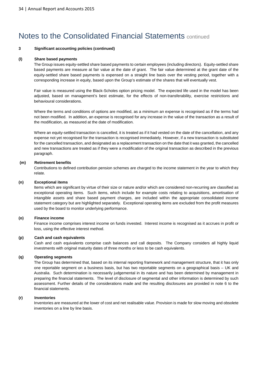#### **3 Significant accounting policies (continued)**

#### **(l) Share based payments**

The Group issues equity-settled share based payments to certain employees (including directors). Equity-settled share based payments are measure at fair value at the date of grant. The fair value determined at the grant date of the equity-settled share based payments is expensed on a straight line basis over the vesting period, together with a corresponding increase in equity, based upon the Group's estimate of the shares that will eventually vest.

Fair value is measured using the Black-Scholes option pricing model. The expected life used in the model has been adjusted, based on management's best estimate, for the effects of non-transferability, exercise restrictions and behavioural considerations.

Where the terms and conditions of options are modified, as a minimum an expense is recognised as if the terms had not been modified. In addition, an expense is recognised for any increase in the value of the transaction as a result of the modification, as measured at the date of modification.

Where an equity-settled transaction is cancelled, it is treated as if it had vested on the date of the cancellation, and any expense not yet recognised for the transaction is recognised immediately. However, if a new transaction is substituted for the cancelled transaction, and designated as a replacement transaction on the date that it was granted, the cancelled and new transactions are treated as if they were a modification of the original transaction as described in the previous paragraph.

#### **(m) Retirement benefits**

Contributions to defined contribution pension schemes are charged to the income statement in the year to which they relate.

#### **(n) Exceptional items**

Items which are significant by virtue of their size or nature and/or which are considered non-recurring are classified as exceptional operating items. Such items, which include for example costs relating to acquisitions, amortisation of intangible assets and share based payment charges, are included within the appropriate consolidated income statement category but are highlighted separately. Exceptional operating items are excluded from the profit measures used by the board to monitor underlying performance.

#### **(o) Finance income**

Finance income comprises interest income on funds invested. Interest income is recognised as it accrues in profit or loss, using the effective interest method.

#### **(p) Cash and cash equivalents**

Cash and cash equivalents comprise cash balances and call deposits. The Company considers all highly liquid investments with original maturity dates of three months or less to be cash equivalents.

#### **(q) Operating segments**

The Group has determined that, based on its internal reporting framework and management structure, that it has only one reportable segment on a business basis, but has two reportable segments on a geographical basis – UK and Australia. Such determination is necessarily judgemental in its nature and has been determined by management in preparing the financial statements. The level of disclosure of segmental and other information is determined by such assessment. Further details of the considerations made and the resulting disclosures are provided in note 6 to the financial statements.

#### **(r) Inventories**

Inventories are measured at the lower of cost and net realisable value. Provision is made for slow moving and obsolete inventories on a line by line basis.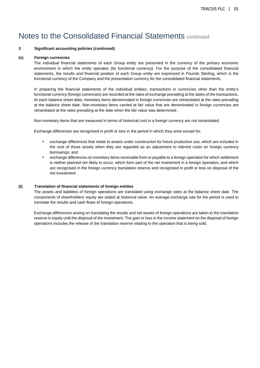#### **3 Significant accounting policies (continued)**

#### **(s) Foreign currencies**

The individual financial statements of each Group entity are presented in the currency of the primary economic environment in which the entity operates (its functional currency). For the purpose of the consolidated financial statements, the results and financial position of each Group entity are expressed in Pounds Sterling, which is the functional currency of the Company and the presentation currency for the consolidated financial statements.

In preparing the financial statements of the individual entities, transactions in currencies other than the entity's functional currency (foreign currencies) are recorded at the rates of exchange prevailing at the dates of the transactions. At each balance sheet date, monetary items denominated in foreign currencies are retranslated at the rates prevailing at the balance sheet date. Non-monetary items carried at fair value that are denominated in foreign currencies are retranslated at the rates prevailing at the date when the fair value was determined.

Non-monetary items that are measured in terms of historical cost in a foreign currency are not retranslated.

Exchange differences are recognised in profit or loss in the period in which they arise except for:

- exchange differences that relate to assets under construction for future productive use, which are included in the cost of those assets when they are regarded as an adjustment to interest costs on foreign currency borrowings; and
- exchange differences on monetary items receivable from or payable to a foreign operation for which settlement is neither planned nor likely to occur, which form part of the net investment in a foreign operation, and which are recognised in the foreign currency translation reserve and recognised in profit or loss on disposal of the net investment.

#### **(t) Translation of financial statements of foreign entities**

The assets and liabilities of foreign operations are translated using exchange rates at the balance sheet date. The components of shareholders' equity are stated at historical value. An average exchange rate for the period is used to translate the results and cash flows of foreign operations.

Exchange differences arising on translating the results and net assets of foreign operations are taken to the translation reserve in equity until the disposal of the investment. The gain or loss in the income statement on the disposal of foreign operations includes the release of the translation reserve relating to the operation that is being sold.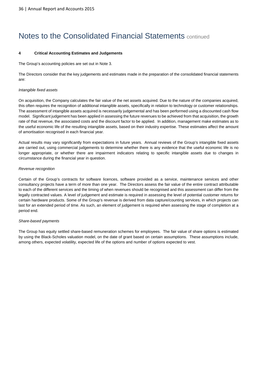#### **4 Critical Accounting Estimates and Judgements**

The Group's accounting policies are set out in Note 3.

The Directors consider that the key judgements and estimates made in the preparation of the consolidated financial statements are:

#### Intangible fixed assets

On acquisition, the Company calculates the fair value of the net assets acquired. Due to the nature of the companies acquired, this often requires the recognition of additional intangible assets, specifically in relation to technology or customer relationships. The assessment of intangible assets acquired is necessarily judgemental and has been performed using a discounted cash flow model. Significant judgement has been applied in assessing the future revenues to be achieved from that acquisition, the growth rate of that revenue, the associated costs and the discount factor to be applied. In addition, management make estimates as to the useful economic life of the resulting intangible assets, based on their industry expertise. These estimates affect the amount of amortisation recognised in each financial year.

Actual results may vary significantly from expectations in future years. Annual reviews of the Group's intangible fixed assets are carried out, using commercial judgements to determine whether there is any evidence that the useful economic life is no longer appropriate, or whether there are impairment indicators relating to specific intangible assets due to changes in circumstance during the financial year in question.

#### Revenue recognition

Certain of the Group's contracts for software licences, software provided as a service, maintenance services and other consultancy projects have a term of more than one year. The Directors assess the fair value of the entire contract attributable to each of the different services and the timing of when revenues should be recognised and this assessment can differ from the legally contracted values. A level of judgement and estimate is required in assessing the level of potential customer returns for certain hardware products. Some of the Group's revenue is derived from data capture/counting services, in which projects can last for an extended period of time. As such, an element of judgement is required when assessing the stage of completion at a period end.

#### Share-based payments

The Group has equity settled share-based remuneration schemes for employees. The fair value of share options is estimated by using the Black-Scholes valuation model, on the date of grant based on certain assumptions. These assumptions include, among others, expected volatility, expected life of the options and number of options expected to vest.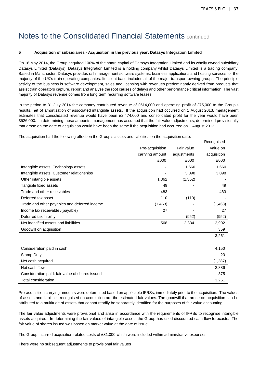#### **5 Acquisition of subsidiaries - Acquisition in the previous year: Datasys Integration Limited**

On 16 May 2014, the Group acquired 100% of the share capital of Datasys Integration Limited and its wholly owned subsidiary Datasys Limited (Datasys). Datasys Integration Limited is a holding company whilst Datasys Limited is a trading company. Based in Manchester, Datasys provides rail management software systems, business applications and hosting services for the majority of the UK's train operating companies. Its client base includes all of the major transport owning groups. The principle activity of the business is software development, sales and licensing with revenues predominantly derived from products that assist train operators capture, report and analyse the root causes of delays and other performance critical information. The vast majority of Datasys revenue comes from long term recurring software leases.

In the period to 31 July 2014 the company contributed revenue of £514,000 and operating profit of £75,000 to the Group's results, net of amortisation of associated intangible assets. If the acquisition had occurred on 1 August 2013, management estimates that consolidated revenue would have been £2,474,000 and consolidated profit for the year would have been £526,000. In determining these amounts, management has assumed that the fair value adjustments, determined provisionally that arose on the date of acquisition would have been the same if the acquisition had occurred on 1 August 2013.

The acquisition had the following effect on the Group's assets and liabilities on the acquisition date:

|                                                 |                 |             | Recognised  |
|-------------------------------------------------|-----------------|-------------|-------------|
|                                                 | Pre-acquisition | Fair value  | value on    |
|                                                 | carrying amount | adjustments | acquisition |
|                                                 | £000            | £000        | £000        |
| Intangible assets: Technology assets            |                 | 1,660       | 1,660       |
| Intangible assets: Customer relationships       |                 | 3,098       | 3,098       |
| Other intangible assets                         | 1,362           | (1, 362)    |             |
| Tangible fixed assets                           | 49              |             | 49          |
| Trade and other receivables                     | 483             |             | 483         |
| Deferred tax asset                              | 110             | (110)       |             |
| Trade and other payables and deferred income    | (1,463)         |             | (1,463)     |
| Income tax receivable /(payable)                | 27              |             | 27          |
| Deferred tax liability                          |                 | (952)       | (952)       |
| Net identified assets and liabilities           | 568             | 2,334       | 2,902       |
| Goodwill on acquisition                         |                 |             | 359         |
|                                                 |                 |             | 3,261       |
|                                                 |                 |             |             |
| Consideration paid in cash                      |                 |             | 4,150       |
| <b>Stamp Duty</b>                               |                 |             | 23          |
| Net cash acquired                               |                 |             | (1, 287)    |
| Net cash flow                                   |                 |             | 2,886       |
| Consideration paid: fair value of shares issued |                 |             | 375         |
| Total consideration                             |                 |             | 3,261       |

Pre-acquisition carrying amounts were determined based on applicable IFRSs, immediately prior to the acquisition. The values of assets and liabilities recognised on acquisition are the estimated fair values. The goodwill that arose on acquisition can be attributed to a multitude of assets that cannot readily be separately identified for the purposes of fair value accounting.

The fair value adjustments were provisional and arise in accordance with the requirements of IFRSs to recognise intangible assets acquired. In determining the fair values of intangible assets the Group has used discounted cash flow forecasts. The fair value of shares issued was based on market value at the date of issue.

The Group incurred acquisition related costs of £31,000 which were included within administrative expenses.

There were no subsequent adjustments to provisional fair values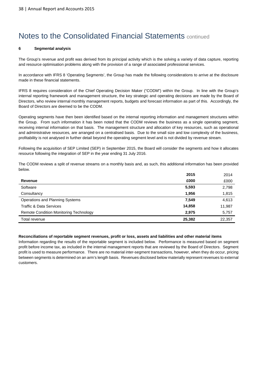#### **6 Segmental analysis**

The Group's revenue and profit was derived from its principal activity which is the solving a variety of data capture, reporting and resource optimisation problems along with the provision of a range of associated professional services.

In accordance with IFRS 8 'Operating Segments', the Group has made the following considerations to arrive at the disclosure made in these financial statements.

IFRS 8 requires consideration of the Chief Operating Decision Maker ("CODM") within the Group. In line with the Group's internal reporting framework and management structure, the key strategic and operating decisions are made by the Board of Directors, who review internal monthly management reports, budgets and forecast information as part of this. Accordingly, the Board of Directors are deemed to be the CODM.

Operating segments have then been identified based on the internal reporting information and management structures within the Group. From such information it has been noted that the CODM reviews the business as a single operating segment, receiving internal information on that basis. The management structure and allocation of key resources, such as operational and administrative resources, are arranged on a centralised basis. Due to the small size and low complexity of the business, profitability is not analysed in further detail beyond the operating segment level and is not divided by revenue stream.

Following the acquisition of SEP Limited (SEP) in September 2015, the Board will consider the segments and how it allocates resource following the integration of SEP in the year ending 31 July 2016.

The CODM reviews a split of revenue streams on a monthly basis and, as such, this additional information has been provided below.

|                                               | 2015   | 2014   |
|-----------------------------------------------|--------|--------|
| Revenue                                       | £000   | £000   |
| Software                                      | 5,593  | 2,798  |
| Consultancy                                   | 1,956  | 1,815  |
| Operations and Planning Systems               | 7,549  | 4,613  |
| <b>Traffic &amp; Data Services</b>            | 14,858 | 11,987 |
| <b>Remote Condition Monitoring Technology</b> | 2.975  | 5,757  |
| Total revenue                                 | 25,382 | 22,357 |

#### **Reconciliations of reportable segment revenues, profit or loss, assets and liabilities and other material items**

Information regarding the results of the reportable segment is included below. Performance is measured based on segment profit before income tax, as included in the internal management reports that are reviewed by the Board of Directors. Segment profit is used to measure performance. There are no material inter-segment transactions, however, when they do occur, pricing between segments is determined on an arm's length basis. Revenues disclosed below materially represent revenues to external customers.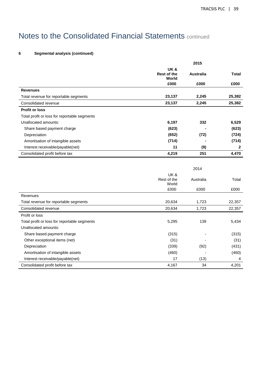### **6 Segmental analysis (continued)**

|                                              | 2015               |                  |              |  |
|----------------------------------------------|--------------------|------------------|--------------|--|
|                                              | <b>UK&amp;</b>     |                  |              |  |
|                                              | <b>Rest of the</b> | <b>Australia</b> | <b>Total</b> |  |
|                                              | World              |                  |              |  |
|                                              | £000               | £000             | £000         |  |
| <b>Revenues</b>                              |                    |                  |              |  |
| Total revenue for reportable segments        | 23,137             | 2,245            | 25,382       |  |
| Consolidated revenue                         | 23,137             | 2,245            | 25,382       |  |
| <b>Profit or loss</b>                        |                    |                  |              |  |
| Total profit or loss for reportable segments |                    |                  |              |  |
| Unallocated amounts:                         | 6,197              | 332              | 6,529        |  |
| Share based payment charge                   | (623)              |                  | (623)        |  |
| Depreciation                                 | (652)              | (72)             | (724)        |  |
| Amortisation of intangible assets            | (714)              |                  | (714)        |  |
| Interest receivable/payable(net)             | 11                 | (9)              | $\mathbf{2}$ |  |
| Consolidated profit before tax               | 4,219              | 251              | 4,470        |  |

|                                              |                      | 2014      |        |
|----------------------------------------------|----------------------|-----------|--------|
|                                              | UK&                  |           |        |
|                                              | Rest of the<br>World | Australia | Total  |
|                                              | £000                 | £000      | £000   |
| Revenues                                     |                      |           |        |
| Total revenue for reportable segments        | 20,634               | 1,723     | 22,357 |
| Consolidated revenue                         | 20,634               | 1,723     | 22,357 |
| Profit or loss                               |                      |           |        |
| Total profit or loss for reportable segments | 5,295                | 139       | 5,434  |
| Unallocated amounts:                         |                      |           |        |
| Share based payment charge                   | (315)                |           | (315)  |
| Other exceptional items (net)                | (31)                 |           | (31)   |
| Depreciation                                 | (339)                | (92)      | (431)  |
| Amortisation of intangible assets            | (460)                |           | (460)  |
| Interest receivable/payable(net)             | 17                   | (13)      | 4      |
| Consolidated profit before tax               | 4,167                | 34        | 4,201  |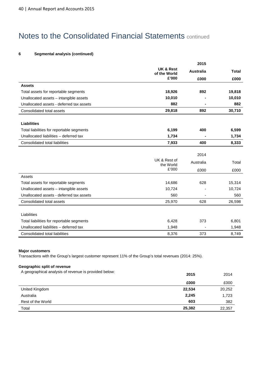#### **6 Segmental analysis (continued)**

|                                           |                                      | 2015             |              |
|-------------------------------------------|--------------------------------------|------------------|--------------|
|                                           | <b>UK &amp; Rest</b><br>of the World | <b>Australia</b> | <b>Total</b> |
|                                           | £'000                                | £000             | £000         |
| <b>Assets</b>                             |                                      |                  |              |
| Total assets for reportable segments      | 18,926                               | 892              | 19,818       |
| Unallocated assets - intangible assets    | 10,010                               |                  | 10,010       |
| Unallocated assets - deferred tax assets  | 882                                  |                  | 882          |
| Consolidated total assets                 | 29,818                               | 892              | 30,710       |
|                                           |                                      |                  |              |
| <b>Liabilities</b>                        |                                      |                  |              |
| Total liabilities for reportable segments | 6,199                                | 400              | 6,599        |
| Unallocated liabilities - deferred tax    | 1,734                                |                  | 1,734        |
| Consolidated total liabilities            | 7,933                                | 400              | 8,333        |
|                                           |                                      |                  |              |
|                                           |                                      | 2014             |              |
|                                           | UK & Rest of<br>the World            | Australia        | Total        |
|                                           | £'000                                | £000             | £000         |
| Assets                                    |                                      |                  |              |
| Total assets for reportable segments      | 14,686                               | 628              | 15,314       |
| Unallocated assets - intangible assets    | 10,724                               |                  | 10,724       |
| Unallocated assets - deferred tax assets  | 560                                  | $\blacksquare$   | 560          |
| Consolidated total assets                 | 25,970                               | 628              | 26,598       |
|                                           |                                      |                  |              |
| Liabilities                               |                                      |                  |              |
| Total liabilities for reportable segments | 6,428                                | 373              | 6,801        |
| Unallocated liabilities - deferred tax    | 1,948                                |                  | 1,948        |
| Consolidated total liabilities            | 8,376                                | 373              | 8,749        |

#### **Major customers**

Transactions with the Group's largest customer represent 11% of the Group's total revenues (2014: 25%).

#### **Geographic split of revenue**

| A geographical analysis of revenue is provided below: | 2015   | 2014   |
|-------------------------------------------------------|--------|--------|
|                                                       | £000   | £000   |
| United Kingdom                                        | 22,534 | 20,252 |
| Australia                                             | 2,245  | 1,723  |
| Rest of the World                                     | 603    | 382    |
| Total                                                 | 25,382 | 22,357 |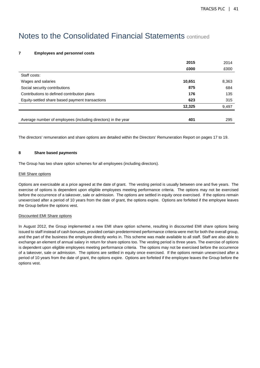#### **7 Employees and personnel costs**

|                                                               | 2015   | 2014  |
|---------------------------------------------------------------|--------|-------|
|                                                               | £000   | £000  |
| Staff costs:                                                  |        |       |
| Wages and salaries                                            | 10,651 | 8,363 |
| Social security contributions                                 | 875    | 684   |
| Contributions to defined contribution plans                   | 176    | 135   |
| Equity-settled share based payment transactions               | 623    | 315   |
|                                                               | 12,325 | 9,497 |
|                                                               |        |       |
| Average number of employees (including directors) in the year | 401    | 295   |

The directors' remuneration and share options are detailed within the Directors' Remuneration Report on pages 17 to 19.

#### **8 Share based payments**

The Group has two share option schemes for all employees (including directors).

#### EMI Share options

Options are exercisable at a price agreed at the date of grant. The vesting period is usually between one and five years. The exercise of options is dependent upon eligible employees meeting performance criteria. The options may not be exercised before the occurrence of a takeover, sale or admission. The options are settled in equity once exercised. If the options remain unexercised after a period of 10 years from the date of grant, the options expire. Options are forfeited if the employee leaves the Group before the options vest.

#### Discounted EMI Share options

In August 2012, the Group implemented a new EMI share option scheme, resulting in discounted EMI share options being issued to staff instead of cash bonuses, provided certain predetermined performance criteria were met for both the overall group, and the part of the business the employee directly works in. This scheme was made available to all staff. Staff are also able to exchange an element of annual salary in return for share options too. The vesting period is three years. The exercise of options is dependent upon eligible employees meeting performance criteria. The options may not be exercised before the occurrence of a takeover, sale or admission. The options are settled in equity once exercised. If the options remain unexercised after a period of 10 years from the date of grant, the options expire. Options are forfeited if the employee leaves the Group before the options vest.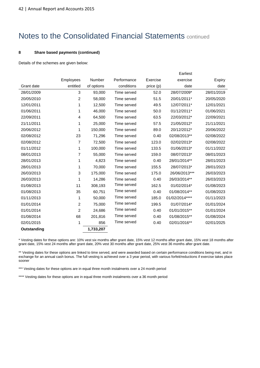#### **8 Share based payments (continued)**

Details of the schemes are given below:

|             |                |            |             |           | Earliest        |            |
|-------------|----------------|------------|-------------|-----------|-----------------|------------|
|             | Employees      | Number     | Performance | Exercise  | exercise        | Expiry     |
| Grant date  | entitled       | of options | conditions  | price (p) | date            | date       |
| 28/01/2009  | 3              | 93,000     | Time served | 52.0      | 28/07/2009*     | 28/01/2019 |
| 20/05/2010  | 2              | 58,000     | Time served | 51.5      | 20/01/2011*     | 20/05/2020 |
| 12/01/2011  | 1              | 12,500     | Time served | 49.5      | 12/07/2011*     | 12/01/2021 |
| 01/06/2011  | 1              | 46,000     | Time served | 50.0      | 01/12/2011*     | 01/06/2021 |
| 22/09/2011  | 4              | 64,500     | Time served | 63.5      | 22/03/2012*     | 22/09/2021 |
| 21/11/2011  | 1              | 25,000     | Time served | 57.5      | 21/05/2012*     | 21/11/2021 |
| 20/06/2012  | 1              | 150,000    | Time served | 89.0      | 20/12/2012*     | 20/06/2022 |
| 02/08/2012  | 23             | 71,296     | Time served | 0.40      | 02/08/2013**    | 02/08/2022 |
| 02/08/2012  | 7              | 72,500     | Time served | 123.0     | 02/02/2013*     | 02/08/2022 |
| 01/11/2012  | 1              | 100,000    | Time served | 133.5     | 01/06/2013*     | 01/11/2022 |
| 08/01/2013  | 7              | 55,000     | Time served | 159.0     | 08/07/2013*     | 08/01/2023 |
| 28/01/2013  | 1              | 4,823      | Time served | 0.40      | 28/01/2014**    | 28/01/2023 |
| 28/01/2013  | 1              | 70,000     | Time served | 155.5     | 28/07/2013*     | 28/01/2023 |
| 26/03/2013  | 3              | 175,000    | Time served | 175.0     | 26/06/2013***   | 26/03/2023 |
| 26/03/2013  | 1              | 14,286     | Time served | 0.40      | 26/03/2014**    | 26/03/2023 |
| 01/08/2013  | 11             | 308,193    | Time served | 162.5     | 01/02/2014*     | 01/08/2023 |
| 01/08/2013  | 35             | 60,751     | Time served | 0.40      | 01/08/2014**    | 01/08/2023 |
| 01/11/2013  | 1              | 50,000     | Time served | 185.0     | 01/02/2014 **** | 01/11/2023 |
| 01/01/2014  | $\overline{c}$ | 75,000     | Time served | 199.5     | 01/07/2014*     | 01/01/2024 |
| 01/01/2014  | $\overline{2}$ | 24,686     | Time served | 0.40      | 01/01/2015**    | 01/01/2024 |
| 01/08/2014  | 68             | 201,816    | Time served | 0.40      | 01/08/2015**    | 01/08/2024 |
| 02/01/2015  | 1              | 856        | Time served | 0.40      | 02/01/2016**    | 02/01/2025 |
| Outstanding |                | 1,733,207  |             |           |                 |            |

\* Vesting dates for these options are: 10% vest six months after grant date, 15% vest 12 months after grant date, 15% vest 18 months after grant date, 15% vest 24 months after grant date, 20% vest 30 months after grant date, 25% vest 36 months after grant date.

\*\* Vesting dates for these options are linked to time served, and were awarded based on certain performance conditions being met, and in exchange for an annual cash bonus. The full vesting is achieved over a 3 year period, with various forfeit/reductions if exercise takes place sooner

\*\*\* Vesting dates for these options are in equal three month instalments over a 24 month period

\*\*\*\* Vesting dates for these options are in equal three month instalments over a 36 month period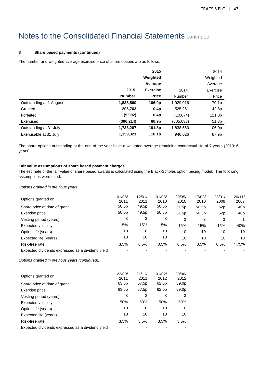#### **8 Share based payments (continued)**

The number and weighted average exercise price of share options are as follows:

|                         |               | 2015               |            | 2014     |
|-------------------------|---------------|--------------------|------------|----------|
|                         |               | Weighted           |            | Weighted |
|                         |               | Average            |            | Average  |
|                         | 2015          | <b>Exercise</b>    | 2014       | Exercise |
|                         | <b>Number</b> | <b>Price</b>       | Number     | Price    |
| Outstanding at 1 August | 1,838,560     | 106.0 <sub>p</sub> | 1,929,016  | 79.1p    |
| Granted                 | 206,763       | 0.4 <sub>p</sub>   | 525,251    | 142.8p   |
| Forfeited               | (5,902)       | 0.4 <sub>p</sub>   | (10, 674)  | 111.8p   |
| Exercised               | (306,214)     | 60.9p              | (605, 033) | 51.8p    |
| Outstanding at 31 July  | 1,733,207     | 101.8p             | 1,838,560  | 106.0p   |
| Exercisable at 31 July  | 1,159,321     | 110.1p             | 940.026    | 87.9p    |

The share options outstanding at the end of the year have a weighted average remaining contractual life of 7 years (2013: 6 years).

#### **Fair value assumptions of share based payment charges**

The estimate of the fair value of share based awards is calculated using the Black-Scholes option pricing model. The following assumptions were used:

Options granted in previous years:

| Options granted on                               | 01/06/<br>2011    | 12/01/<br>2011 | 01/08/<br>2010 | 20/05/<br>2010 | 17/03/<br>2010 | 28/01/<br>2009 | 26/11/<br>2007  |
|--------------------------------------------------|-------------------|----------------|----------------|----------------|----------------|----------------|-----------------|
| Share price at date of grant                     | 50.0p             | 49.5p          | 50.5p          | 51.5p          | 50.5p          | 52p            | 40 <sub>p</sub> |
| Exercise price                                   | 50.0 <sub>p</sub> | 49.5p          | 50.5p          | 51.5p          | 50.5p          | 52p            | 40 <sub>p</sub> |
| Vesting period (years)                           | 3                 | 3              | 3              | 3              | 3              | 3              |                 |
| Expected volatility                              | 15%               | 15%            | 15%            | 15%            | 15%            | 15%            | 40%             |
| Option life (years)                              | 10                | 10             | 10             | 10             | 10             | 10             | 10              |
| Expected life (years)                            | 10                | 10             | 10             | 10             | 10             | 10             | 10              |
| Risk-free rate                                   | 3.5%              | 0.5%           | 0.5%           | 0.5%           | 0.5%           | 0.5%           | 4.75%           |
| Expected dividends expressed as a dividend yield |                   |                |                |                |                |                |                 |

Options granted in previous years (continued):

| Options granted on                               | 22/09/<br>2011 | 21/11/<br>2011 | 01/02/<br>2012 | 20/06/<br>2012 |
|--------------------------------------------------|----------------|----------------|----------------|----------------|
| Share price at date of grant                     | 63.5p          | 57.5p          | 62.0p          | 89.0p          |
| Exercise price                                   | 63.5p          | 57.5p          | 62.0p          | 89.0p          |
| Vesting period (years)                           | 3              | 3              | 3              | 3              |
| Expected volatility                              | 50%            | 50%            | 50%            | 50%            |
| Option life (years)                              | 10             | 10             | 10             | 10             |
| Expected life (years)                            | 10             | 10             | 10             | 10             |
| Risk-free rate                                   | 3.5%           | 3.5%           | 3.5%           | 3.5%           |
| Expected dividends expressed as a dividend yield |                |                |                |                |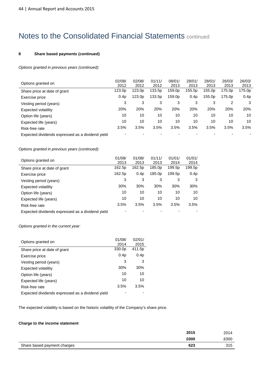#### **8 Share based payments (continued)**

Options granted in previous years (continued):

| Options granted on                               | 02/08/<br>2012   | 02/08/<br>2012 | 01/11/<br>2012 | 08/01/<br>2013 | 28/01/<br>2013 | 28/01/<br>2013 | 26/03/<br>2013 | 26/03/<br>2013 |
|--------------------------------------------------|------------------|----------------|----------------|----------------|----------------|----------------|----------------|----------------|
| Share price at date of grant                     | 123.0p           | 123.0p         | 133.5p         | 159.0p         | 155.5p         | 155.0p         | 175.0p         | 175.0p         |
| Exercise price                                   | 0.4 <sub>D</sub> | 123.0p         | 133.5p         | 159.0p         | 0.4p           | 155.0p         | 175.0p         | 0.4p           |
| Vesting period (years)                           | 3                | 3              | 3              | 3              | 3              | 3              | 2              | 3              |
| Expected volatility                              | 20%              | 20%            | 20%            | 20%            | 20%            | 20%            | 20%            | 20%            |
| Option life (years)                              | 10               | 10             | 10             | 10             | 10             | 10             | 10             | 10             |
| Expected life (years)                            | 10               | 10             | 10             | 10             | 10             | 10             | 10             | 10             |
| Risk-free rate                                   | 3.5%             | 3.5%           | 3.5%           | 3.5%           | 3.5%           | 3.5%           | 3.5%           | 3.5%           |
| Expected dividends expressed as a dividend yield |                  |                |                |                |                |                |                |                |

Options granted in previous years (continued):

| Options granted on                               | 01/08/<br>2013 | 01/08/<br>2013   | 01/11/<br>2013 | 01/01/<br>2014 | 01/01/<br>2014 |
|--------------------------------------------------|----------------|------------------|----------------|----------------|----------------|
| Share price at date of grant                     | 162.5p         | 162.5p           | 185.0p         | 199.5p         | 199.5p         |
| Exercise price                                   | 162.5p         | 0.4 <sub>D</sub> | 185.0p         | 199.5p         | 0.4p           |
| Vesting period (years)                           | 3              | 3                | 3              | 3              | 3              |
| Expected volatility                              | 30%            | 30%              | 30%            | 30%            | 30%            |
| Option life (years)                              | 10             | 10               | 10             | 10             | 10             |
| Expected life (years)                            | 10             | 10               | 10             | 10             | 10             |
| Risk-free rate                                   | 3.5%           | 3.5%             | 3.5%           | 3.5%           | 3.5%           |
| Expected dividends expressed as a dividend yield |                |                  |                |                |                |

Options granted in the current year:

| Options granted on                               | 01/08/           | 02/01/           |
|--------------------------------------------------|------------------|------------------|
|                                                  | 2014             | 2015             |
| Share price at date of grant                     | 330.0p           | 411.5p           |
| Exercise price                                   | 0.4 <sub>p</sub> | 0.4 <sub>p</sub> |
| Vesting period (years)                           | 3                | 3                |
| Expected volatility                              | 30%              | 30%              |
| Option life (years)                              | 10               | 10               |
| Expected life (years)                            | 10               | 10               |
| Risk-free rate                                   | 3.5%             | 3.5%             |
| Expected dividends expressed as a dividend yield |                  |                  |

The expected volatility is based on the historic volatility of the Company's share price.

#### **Charge to the income statement**

|                             | 2015 | 2014 |
|-----------------------------|------|------|
|                             | £000 | £000 |
| Share based payment charges | 623  | 315  |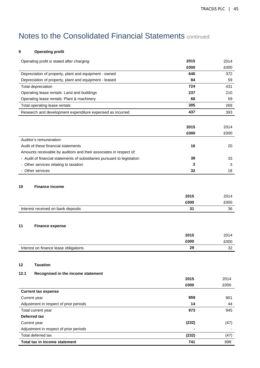Operating profit is stated after charging: **2015** 2014

### **9 Operating profit**

|                                                                         | £000  | £000 |
|-------------------------------------------------------------------------|-------|------|
| Depreciation of property, plant and equipment - owned                   | 640   | 372  |
| Depreciation of property, plant and equipment - leased                  | 84    | 59   |
| Total depreciation                                                      | 724   | 431  |
| Operating lease rentals: Land and buildings                             | 237   | 210  |
| Operating lease rentals: Plant & machinery                              | 68    | 59   |
| Total operating lease rentals                                           | 305   | 269  |
| Research and development expenditure expensed as incurred               | 437   | 393  |
|                                                                         |       |      |
|                                                                         | 2015  | 2014 |
|                                                                         | £000  | £000 |
| Auditor's remuneration:                                                 |       |      |
| Audit of these financial statements                                     | 16    | 20   |
| Amounts receivable by auditors and their associates in respect of:      |       |      |
| - Audit of financial statements of subsidiaries pursuant to legislation | 38    | 33   |
| - Other services relating to taxation                                   | 3     | 3    |
| Other services                                                          | 32    | 18   |
|                                                                         |       |      |
| <b>Finance income</b><br>10                                             |       |      |
|                                                                         |       |      |
|                                                                         | 2015  | 2014 |
|                                                                         | £000  | £000 |
| Interest received on bank deposits                                      | 31    | 36   |
|                                                                         |       |      |
|                                                                         |       |      |
| 11<br><b>Finance expense</b>                                            |       |      |
|                                                                         | 2015  | 2014 |
|                                                                         | £000  | £000 |
| Interest on finance lease obligations                                   | 29    | 32   |
|                                                                         |       |      |
|                                                                         |       |      |
| <b>Taxation</b><br>12                                                   |       |      |
| 12.1<br>Recognised in the income statement                              |       |      |
|                                                                         | 2015  | 2014 |
|                                                                         | £000  | £000 |
| <b>Current tax expense</b>                                              |       |      |
| Current year                                                            | 959   | 901  |
| Adjustment in respect of prior periods                                  | 14    | 44   |
| Total current year                                                      | 973   | 945  |
| <b>Deferred tax</b>                                                     |       |      |
| Current year                                                            | (232) | (47) |
| Adjustment in respect of prior periods                                  |       |      |
| Total deferred tax                                                      | (232) | (47) |
| Total tax in income statement                                           | 741   | 898  |
|                                                                         |       |      |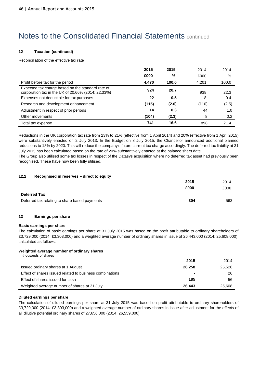#### **12 Taxation (continued)**

Reconciliation of the effective tax rate

|                                                                                                         | 2015  | 2015  | 2014  | 2014  |
|---------------------------------------------------------------------------------------------------------|-------|-------|-------|-------|
|                                                                                                         | £000  | %     | £000  | %     |
| Profit before tax for the period                                                                        | 4.470 | 100.0 | 4.201 | 100.0 |
| Expected tax charge based on the standard rate of<br>corporation tax in the UK of 20.66% (2014: 22.33%) | 924   | 20.7  | 938   | 22.3  |
| Expenses not deductible for tax purposes                                                                | 22    | 0.5   | 18    | 0.4   |
| Research and development enhancement                                                                    | (115) | (2.6) | (110) | (2.5) |
| Adjustment in respect of prior periods                                                                  | 14    | 0.3   | 44    | 1.0   |
| Other movements                                                                                         | (104) | (2.3) | 8     | 0.2   |
| Total tax expense                                                                                       | 741   | 16.6  | 898   | 21.4  |

Reductions in the UK corporation tax rate from 23% to 21% (effective from 1 April 2014) and 20% (effective from 1 April 2015) were substantively enacted on 2 July 2013. In the Budget on 8 July 2015, the Chancellor announced additional planned reductions to 18% by 2020. This will reduce the company's future current tax charge accordingly. The deferred tax liability at 31 July 2015 has been calculated based on the rate of 20% substantively enacted at the balance sheet date.

The Group also utilised some tax losses in respect of the Datasys acquisition where no deferred tax asset had previously been recognised. These have now been fully utilised.

#### **12.2 Recognised in reserves – direct to equity**

|                                               | 2015 | 2014 |
|-----------------------------------------------|------|------|
|                                               | £000 | £000 |
| <b>Deferred Tax</b>                           |      |      |
| Deferred tax relating to share based payments | 304  | 563  |

#### **13 Earnings per share**

#### **Basic earnings per share**

The calculation of basic earnings per share at 31 July 2015 was based on the profit attributable to ordinary shareholders of £3,729,000 (2014: £3,303,000) and a weighted average number of ordinary shares in issue of 26,443,000 (2014: 25,608,000), calculated as follows:

#### **Weighted average number of ordinary shares**

In thousands of shares

|                                                          | 2015           | 2014   |
|----------------------------------------------------------|----------------|--------|
| Issued ordinary shares at 1 August                       | 26,258         | 25.526 |
| Effect of shares issued related to business combinations | $\blacksquare$ | 26     |
| Effect of shares issued for cash                         | 185            | 56     |
| Weighted average number of shares at 31 July             | 26.443         | 25,608 |

#### **Diluted earnings per share**

The calculation of diluted earnings per share at 31 July 2015 was based on profit attributable to ordinary shareholders of £3,729,000 (2014: £3,303,000) and a weighted average number of ordinary shares in issue after adjustment for the effects of all dilutive potential ordinary shares of 27,656,000 (2014: 26,559,000):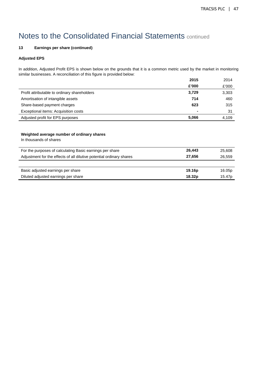### **13 Earnings per share (continued)**

#### **Adjusted EPS**

In addition, Adjusted Profit EPS is shown below on the grounds that it is a common metric used by the market in monitoring similar businesses. A reconciliation of this figure is provided below:

|                                              | 2015  | 2014  |
|----------------------------------------------|-------|-------|
|                                              | £'000 | £'000 |
| Profit attributable to ordinary shareholders | 3,729 | 3,303 |
| Amortisation of intangible assets            | 714   | 460   |
| Share-based payment charges                  | 623   | 315   |
| Exceptional items: Acquisition costs         | ۰     | 31    |
| Adjusted profit for EPS purposes             | 5,066 | 4.109 |

#### **Weighted average number of ordinary shares**

In thousands of shares

| For the purposes of calculating Basic earnings per share             | 26,443             | 25,608             |
|----------------------------------------------------------------------|--------------------|--------------------|
| Adjustment for the effects of all dilutive potential ordinary shares | 27,656             | 26,559             |
|                                                                      |                    |                    |
| Basic adjusted earnings per share                                    | 19.16 <sub>p</sub> | 16.05p             |
| Diluted adjusted earnings per share                                  | 18.32 <sub>p</sub> | 15.47 <sub>p</sub> |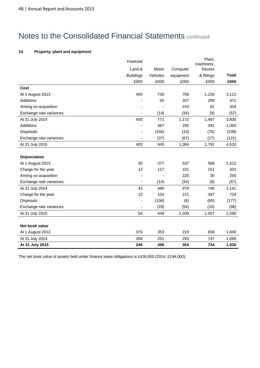### **14 Property, plant and equipment**

|                         | Freehold         |          |           | Plant,<br>machinery, |              |
|-------------------------|------------------|----------|-----------|----------------------|--------------|
|                         | Land &           | Motor    | Computer  | fixtures             |              |
|                         | <b>Buildings</b> | Vehicles | equipment | & fittings           | <b>Total</b> |
|                         | £000             | £000     | £000      | £000                 | £000         |
| Cost                    |                  |          |           |                      |              |
| At 1 August 2013        | 400              | 730      | 756       | 1,226                | 3,112        |
| Additions               |                  | 55       | 207       | 209                  | 471          |
| Arising on acquisition  |                  |          | 243       | 61                   | 304          |
| Exchange rate variances |                  | (14)     | (34)      | (9)                  | (57)         |
| At 31 July 2014         | 400              | 771      | 1,172     | 1,487                | 3,830        |
| Additions               |                  | 367      | 292       | 391                  | 1,050        |
| Disposals               |                  | (156)    | (13)      | (70)                 | (239)        |
| Exchange rate variances |                  | (37)     | (67)      | (17)                 | (121)        |
| At 31 July 2015         | 400              | 945      | 1,384     | 1,791                | 4,520        |
|                         |                  |          |           |                      |              |
| <b>Depreciation</b>     |                  |          |           |                      |              |
| At 1 August 2013        | 30               | 377      | 537       | 568                  | 1,512        |
| Charge for the year     | 12               | 117      | 151       | 151                  | 431          |
| Arising on acquisition  |                  |          | 225       | 30                   | 255          |
| Exchange rate variances |                  | (14)     | (34)      | (9)                  | (57)         |
| At 31 July 2014         | 42               | 480      | 879       | 740                  | 2,141        |
| Charge for the year     | 12               | 104      | 211       | 397                  | 724          |
| Disposals               |                  | (106)    | (6)       | (65)                 | (177)        |
| Exchange rate variances |                  | (29)     | (54)      | (15)                 | (98)         |
| At 31 July 2015         | 54               | 449      | 1,030     | 1,057                | 2,590        |
|                         |                  |          |           |                      |              |
| Net book value          |                  |          |           |                      |              |
| At 1 August 2013        | 370              | 353      | 219       | 658                  | 1,600        |
| At 31 July 2014         | 358              | 291      | 293       | 747                  | 1,689        |
| At 31 July 2015         | 346              | 496      | 354       | 734                  | 1,930        |

The net book value of assets held under finance lease obligations is £426,000 (2014: £194,000).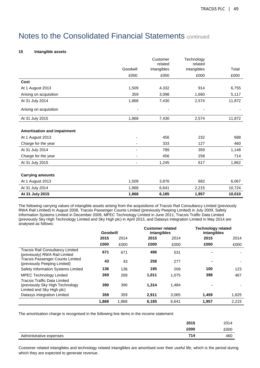#### **15 Intangible assets**

|                                    |                          | Customer<br>related | Technology<br>related |        |
|------------------------------------|--------------------------|---------------------|-----------------------|--------|
|                                    | Goodwill                 | intangibles         | intangibles           | Total  |
|                                    | £000                     | £000                | £000                  | £000   |
| Cost                               |                          |                     |                       |        |
| At 1 August 2013                   | 1,509                    | 4,332               | 914                   | 6,755  |
| Arising on acquisition             | 359                      | 3,098               | 1,660                 | 5,117  |
| At 31 July 2014                    | 1,868                    | 7,430               | 2,574                 | 11,872 |
| Arising on acquisition             |                          |                     |                       |        |
| At 31 July 2015                    | 1,868                    | 7,430               | 2,574                 | 11,872 |
|                                    |                          |                     |                       |        |
| <b>Amortisation and impairment</b> |                          |                     |                       |        |
| At 1 August 2013                   |                          | 456                 | 232                   | 688    |
| Charge for the year                |                          | 333                 | 127                   | 460    |
| At 31 July 2014                    | $\blacksquare$           | 789                 | 359                   | 1,148  |
| Charge for the year                |                          | 456                 | 258                   | 714    |
| At 31 July 2015                    | $\overline{\phantom{a}}$ | 1,245               | 617                   | 1,862  |
|                                    |                          |                     |                       |        |
| <b>Carrying amounts</b>            |                          |                     |                       |        |
| At 1 August 2013                   | 1,509                    | 3,876               | 682                   | 6,067  |
| At 31 July 2014                    | 1,868                    | 6,641               | 2,215                 | 10,724 |
| At 31 July 2015                    | 1,868                    | 6,185               | 1,957                 | 10,010 |

The following carrying values of intangible assets arising from the acquisitions of Tracsis Rail Consultancy Limited (previously RWA Rail Limited) in August 2008, Tracsis Passenger Counts Limited (previously Peeping Limited) in July 2009, Safety Information Systems Limited in December 2009, MPEC Technology Limited in June 2011, Tracsis Traffic Data Limited (previously Sky High Technology Limited and Sky High plc) in April 2013, and Datasys Integration Limited in May 2014 are analysed as follows:

|                                                                                               | Goodwill |       | <b>Customer related</b><br>intangibles |       | Technology related<br>intangibles |       |
|-----------------------------------------------------------------------------------------------|----------|-------|----------------------------------------|-------|-----------------------------------|-------|
|                                                                                               | 2015     | 2014  | 2015                                   | 2014  | 2015                              | 2014  |
|                                                                                               | £000     | £000  | £000                                   | £000  | £000                              | £000  |
| <b>Tracsis Rail Consultancy Limited</b><br>(previously) RWA Rail Limited                      | 671      | 671   | 496                                    | 531   |                                   |       |
| <b>Tracsis Passenger Counts Limited</b><br>(previously Peeping Limited)                       | 43       | 43    | 258                                    | 277   |                                   |       |
| Safety Information Systems Limited                                                            | 136      | 136   | 195                                    | 209   | 100                               | 123   |
| <b>MPEC Technology Limited</b>                                                                | 269      | 269   | 1,011                                  | 1,075 | 398                               | 467   |
| Tracsis Traffic Data Limited<br>(previously Sky High Technology)<br>Limited and Sky High plc) | 390      | 390   | 1,314                                  | 1.484 |                                   |       |
| Datasys Integration Limited                                                                   | 359      | 359   | 2,911                                  | 3,065 | 1,459                             | 1,625 |
|                                                                                               | 1,868    | 1,868 | 6,185                                  | 6.641 | 1,957                             | 2,215 |

The amortisation charge is recognised in the following line items in the income statement:

|                         | 2015 | 2014 |
|-------------------------|------|------|
|                         | £000 | £000 |
| Administrative expenses | 714  | 460  |

Customer related intangibles and technology related intangibles are amortised over their useful life, which is the period during which they are expected to generate revenue.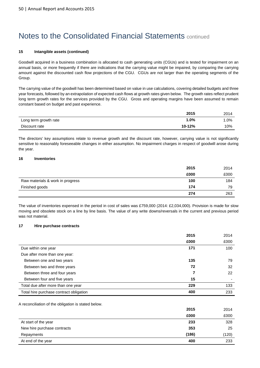#### **15 Intangible assets (continued)**

Goodwill acquired in a business combination is allocated to cash generating units (CGUs) and is tested for impairment on an annual basis, or more frequently if there are indications that the carrying value might be impaired, by comparing the carrying amount against the discounted cash flow projections of the CGU. CGUs are not larger than the operating segments of the Group.

The carrying value of the goodwill has been determined based on value in use calculations, covering detailed budgets and three year forecasts, followed by an extrapolation of expected cash flows at growth rates given below. The growth rates reflect prudent long term growth rates for the services provided by the CGU. Gross and operating margins have been assumed to remain constant based on budget and past experience.

|                       | 2015   | 2014   |
|-----------------------|--------|--------|
| Long term growth rate | 1.0%   | $.0\%$ |
| Discount rate         | 10-12% | 10%    |

The directors' key assumptions relate to revenue growth and the discount rate, however, carrying value is not significantly sensitive to reasonably foreseeable changes in either assumption. No impairment charges in respect of goodwill arose during the year.

#### **16 Inventories**

|                                  | 2015 | 2014 |
|----------------------------------|------|------|
|                                  | £000 | £000 |
| Raw materials & work in progress | 100  | 184  |
| Finished goods                   | 174  | 79   |
|                                  | 274  | 263  |

The value of inventories expensed in the period in cost of sales was £759,000 (2014: £2,034,000). Provision is made for slow moving and obsolete stock on a line by line basis. The value of any write downs/reversals in the current and previous period was not material.

#### **17 Hire purchase contracts**

|                                         | 2015 | 2014                     |
|-----------------------------------------|------|--------------------------|
|                                         | £000 | £000                     |
| Due within one year                     | 171  | 100                      |
| Due after more than one year:           |      |                          |
| Between one and two years               | 135  | 79                       |
| Between two and three years             | 72   | 32                       |
| Between three and four years            | 7    | 22                       |
| Between four and five years             | 15   | $\overline{\phantom{0}}$ |
| Total due after more than one year      | 229  | 133                      |
| Total hire purchase contract obligation | 400  | 233                      |

A reconciliation of the obligation is stated below.

|                             | 2015  | 2014  |
|-----------------------------|-------|-------|
|                             | £000  | £000  |
| At start of the year        | 233   | 328   |
| New hire purchase contracts | 353   | 25    |
| Repayments                  | (186) | (120) |
| At end of the year          | 400   | 233   |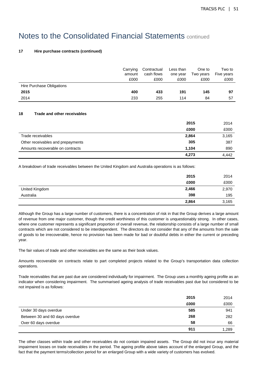#### **17 Hire purchase contracts (continued)**

|                           | Carrying<br>amount | Contractual<br>cash flows | Less than<br>one year | One to<br>Two years | Two to<br>Five years |
|---------------------------|--------------------|---------------------------|-----------------------|---------------------|----------------------|
|                           | £000               | £000                      | £000                  | £000                | £000                 |
| Hire Purchase Obligations |                    |                           |                       |                     |                      |
| 2015                      | 400                | 433                       | 191                   | 145                 | 97                   |
| 2014                      | 233                | 255                       | 114                   | 84                  | 57                   |

#### **18 Trade and other receivables**

|                                   | 2015  | 2014  |
|-----------------------------------|-------|-------|
|                                   | £000  | £000  |
| Trade receivables                 | 2,864 | 3,165 |
| Other receivables and prepayments | 305   | 387   |
| Amounts recoverable on contracts  | 1.104 | 890   |
|                                   | 4,273 | 4,442 |

A breakdown of trade receivables between the United Kingdom and Australia operations is as follows:

|                | 2015  | 2014  |
|----------------|-------|-------|
|                | £000  | £000  |
| United Kingdom | 2,466 | 2,970 |
| Australia      | 398   | 195   |
|                | 2,864 | 3,165 |

Although the Group has a large number of customers, there is a concentration of risk in that the Group derives a large amount of revenue from one major customer, though the credit worthiness of this customer is unquestionably strong. In other cases, where one customer represents a significant proportion of overall revenue, the relationship consists of a large number of small contracts which are not considered to be interdependent. The directors do not consider that any of the amounts from the sale of goods to be irrecoverable, hence no provision has been made for bad or doubtful debts in either the current or preceding year.

The fair values of trade and other receivables are the same as their book values.

Amounts recoverable on contracts relate to part completed projects related to the Group's transportation data collection operations.

Trade receivables that are past due are considered individually for impairment. The Group uses a monthly ageing profile as an indicator when considering impairment. The summarised ageing analysis of trade receivables past due but considered to be not impaired is as follows:

|                                | 2015 | 2014  |
|--------------------------------|------|-------|
|                                | £000 | £000  |
| Under 30 days overdue          | 585  | 941   |
| Between 30 and 60 days overdue | 268  | 282   |
| Over 60 days overdue           | 58   | 66    |
|                                | 911  | 1,289 |

The other classes within trade and other receivables do not contain impaired assets. The Group did not incur any material impairment losses on trade receivables in the period. The ageing profile above takes account of the enlarged Group, and the fact that the payment terms/collection period for an enlarged Group with a wide variety of customers has evolved.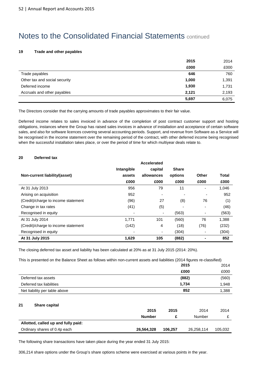#### **19 Trade and other payables**

|                               | 2015  | 2014  |
|-------------------------------|-------|-------|
|                               | £000  | £000  |
| Trade payables                | 646   | 760   |
| Other tax and social security | 1,000 | 1,391 |
| Deferred income               | 1,930 | 1,731 |
| Accruals and other payables   | 2,121 | 2,193 |
|                               | 5,697 | 6,075 |

The Directors consider that the carrying amounts of trade payables approximates to their fair value.

Deferred income relates to sales invoiced in advance of the completion of post contract customer support and hosting obligations, instances where the Group has raised sales invoices in advance of installation and acceptance of certain software sales, and also for software licences covering several accounting periods. Support, and revenue from Software as a Service will be recognised in the income statement over the remaining period of the contract, with other deferred income being recognised when the successful installation takes place, or over the period of time for which multiyear deals relate to.

#### **20 Deferred tax**

|                                     |                          | Accelerated |              |                |              |
|-------------------------------------|--------------------------|-------------|--------------|----------------|--------------|
|                                     | Intangible               | capital     | <b>Share</b> |                |              |
| Non-current liability/(asset)       | assets                   | allowances  | options      | Other          | <b>Total</b> |
|                                     | £000                     | £000        | £000         | £000           | £000         |
| At 31 July 2013                     | 956                      | 79          | 11           | ۰.             | 1,046        |
| Arising on acquisition              | 952                      | ٠           |              |                | 952          |
| (Credit)/charge to income statement | (96)                     | 27          | (8)          | 76             | (1)          |
| Change in tax rates                 | (41)                     | (5)         |              | ٠              | (46)         |
| Recognised in equity                | $\overline{\phantom{a}}$ | ٠           | (563)        | $\blacksquare$ | (563)        |
| At 31 July 2014                     | 1,771                    | 101         | (560)        | 76             | 1,388        |
| (Credit)/charge to income statement | (142)                    | 4           | (18)         | (76)           | (232)        |
| Recognised in equity                | $\overline{\phantom{0}}$ | ٠           | (304)        | ۰              | (304)        |
| At 31 July 2015                     | 1,629                    | 105         | (882)        | -              | 852          |

The closing deferred tax asset and liability has been calculated at 20% as at 31 July 2015 (2014: 20%).

This is presented on the Balance Sheet as follows within non-current assets and liabilities (2014 figures re-classified)

|                               | 2015  | 2014  |
|-------------------------------|-------|-------|
|                               | £000  | £000  |
| Deferred tax assets           | (882) | (560) |
| Deferred tax liabilities      | 1.734 | 1,948 |
| Net liability per table above | 852   | 1,388 |

#### **21 Share capital**

|                                     | 2015          | 2015    | 2014       | 2014    |
|-------------------------------------|---------------|---------|------------|---------|
|                                     | <b>Number</b> |         | Number     |         |
| Allotted, called up and fully paid: |               |         |            |         |
| Ordinary shares of 0.4p each        | 26,564,328    | 106.257 | 26,258,114 | 105,032 |

The following share transactions have taken place during the year ended 31 July 2015:

306,214 share options under the Group's share options scheme were exercised at various points in the year.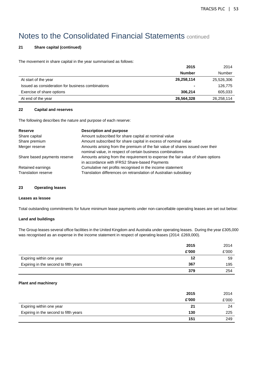### **21 Share capital (continued)**

The movement in share capital in the year summarised as follows:

|                                                   | 2015           | 2014       |
|---------------------------------------------------|----------------|------------|
|                                                   | <b>Number</b>  | Number     |
| At start of the year                              | 26,258,114     | 25,526,306 |
| Issued as consideration for business combinations | $\blacksquare$ | 126,775    |
| Exercise of share options                         | 306.214        | 605,033    |
| At end of the year                                | 26,564,328     | 26,258,114 |

#### **22 Capital and reserves**

The following describes the nature and purpose of each reserve:

| <b>Reserve</b>               | <b>Description and purpose</b>                                                                                                               |
|------------------------------|----------------------------------------------------------------------------------------------------------------------------------------------|
| Share capital                | Amount subscribed for share capital at nominal value                                                                                         |
| Share premium                | Amount subscribed for share capital in excess of nominal value                                                                               |
| Merger reserve               | Amounts arising from the premium of the fair value of shares issued over their<br>nominal value, in respect of certain business combinations |
| Share based payments reserve | Amounts arising from the requirement to expense the fair value of share options<br>in accordance with IFRS2 Share-based Payments             |
| Retained earnings            | Cumulative net profits recognised in the income statement                                                                                    |
| <b>Translation reserve</b>   | Translation differences on retranslation of Australian subsidiary                                                                            |

#### **23 Operating leases**

#### **Leases as lessee**

Total outstanding commitments for future minimum lease payments under non-cancellable operating leases are set out below:

#### **Land and buildings**

The Group leases several office facilities in the United Kingdom and Australia under operating leases. During the year £305,000 was recognised as an expense in the income statement in respect of operating leases (2014: £269,000).

|                                       | 2015  | 2014  |
|---------------------------------------|-------|-------|
|                                       | £'000 | £'000 |
| Expiring within one year              | 12    | 59    |
| Expiring in the second to fifth years | 367   | 195   |
|                                       | 379   | 254   |

#### **Plant and machinery**

|                                       | 2015  | 2014  |
|---------------------------------------|-------|-------|
|                                       | £'000 | £'000 |
| Expiring within one year              | 21    | 24    |
| Expiring in the second to fifth years | 130   | 225   |
|                                       | 151   | 249   |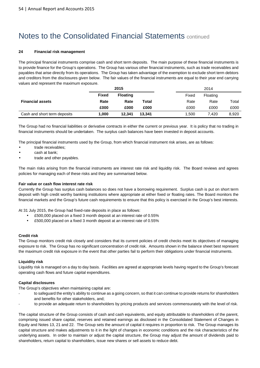#### **24 Financial risk management**

The principal financial instruments comprise cash and short term deposits. The main purpose of these financial instruments is to provide finance for the Group's operations. The Group has various other financial instruments, such as trade receivables and payables that arise directly from its operations. The Group has taken advantage of the exemption to exclude short term debtors and creditors from the disclosures given below. The fair values of the financial instruments are equal to their year end carrying values and represent the maximum exposure.

|                              | 2015         |                 | 2014   |  |       |          |       |
|------------------------------|--------------|-----------------|--------|--|-------|----------|-------|
|                              | <b>Fixed</b> | <b>Floating</b> |        |  | Fixed | Floating |       |
| <b>Financial assets</b>      | Rate         | Rate            | Total  |  | Rate  | Rate     | Total |
|                              | £000         | £000            | £000   |  | £000  | £000     | £000  |
| Cash and short term deposits | 1,000        | 12.341          | 13.341 |  | 1.500 | 7.420    | 8,920 |

The Group had no financial liabilities or derivative contracts in either the current or previous year. It is policy that no trading in financial instruments should be undertaken. The surplus cash balances have been invested in deposit accounts.

The principal financial instruments used by the Group, from which financial instrument risk arises, are as follows:

- trade receivables:
- cash at bank;
- trade and other payables.

The main risks arising from the financial instruments are interest rate risk and liquidity risk. The Board reviews and agrees policies for managing each of these risks and they are summarised below.

#### **Fair value or cash flow interest rate risk**

Currently the Group has surplus cash balances so does not have a borrowing requirement. Surplus cash is put on short term deposit with high credit worthy banking institutions where appropriate at either fixed or floating rates. The Board monitors the financial markets and the Group's future cash requirements to ensure that this policy is exercised in the Group's best interests.

At 31 July 2015, the Group had fixed-rate deposits in place as follows:

- £500,000 placed on a fixed 3 month deposit at an interest rate of 0.55%
- £500,000 placed on a fixed 3 month deposit at an interest rate of 0.55%

#### **Credit risk**

The Group monitors credit risk closely and considers that its current policies of credit checks meet its objectives of managing exposure to risk. The Group has no significant concentration of credit risk. Amounts shown in the balance sheet best represent the maximum credit risk exposure in the event that other parties fail to perform their obligations under financial instruments.

#### **Liquidity risk**

Liquidity risk is managed on a day to day basis. Facilities are agreed at appropriate levels having regard to the Group's forecast operating cash flows and future capital expenditures.

#### **Capital disclosures**

The Group's objectives when maintaining capital are:

- to safeguard the entity's ability to continue as a going concern, so that it can continue to provide returns for shareholders and benefits for other stakeholders, and;
- to provide an adequate return to shareholders by pricing products and services commensurately with the level of risk.

The capital structure of the Group consists of cash and cash equivalents, and equity attributable to shareholders of the parent, comprising issued share capital, reserves and retained earnings as disclosed in the Consolidated Statement of Changes in Equity and Notes 13, 21 and 22. The Group sets the amount of capital it requires in proportion to risk. The Group manages its capital structure and makes adjustments to it in the light of changes in economic conditions and the risk characteristics of the underlying assets. In order to maintain or adjust the capital structure, the Group may adjust the amount of dividends paid to shareholders, return capital to shareholders, issue new shares or sell assets to reduce debt.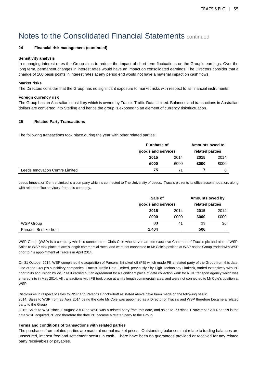#### **24 Financial risk management (continued)**

#### **Sensitivity analysis**

In managing interest rates the Group aims to reduce the impact of short term fluctuations on the Group's earnings. Over the long term, permanent changes in interest rates would have an impact on consolidated earnings. The Directors consider that a change of 100 basis points in interest rates at any period end would not have a material impact on cash flows.

#### **Market risks**

The Directors consider that the Group has no significant exposure to market risks with respect to its financial instruments.

#### **Foreign currency risk**

The Group has an Australian subsidiary which is owned by Tracsis Traffic Data Limited. Balances and transactions in Australian dollars are converted into Sterling and hence the group is exposed to an element of currency risk/fluctuation.

#### **25 Related Party Transactions**

The following transactions took place during the year with other related parties:

|                                 | <b>Purchase of</b> |      | <b>Amounts owed to</b><br>related parties |      |
|---------------------------------|--------------------|------|-------------------------------------------|------|
|                                 | goods and services |      |                                           |      |
|                                 | 2015<br>2014       |      | 2015                                      | 2014 |
|                                 | £000               | £000 | £000                                      | £000 |
| Leeds Innovation Centre Limited | 75                 | 71   |                                           | 6    |

Leeds Innovation Centre Limited is a company which is connected to The University of Leeds. Tracsis plc rents its office accommodation, along with related office services, from this company.

|                      | Sale of<br>goods and services |                          | Amounts owed by<br>related parties |                          |
|----------------------|-------------------------------|--------------------------|------------------------------------|--------------------------|
|                      |                               |                          |                                    |                          |
|                      | 2015                          | 2014                     |                                    | 2014                     |
|                      | £000                          | £000                     | £000                               | £000                     |
| WSP Group            | 83                            | 41                       | 13                                 | 36                       |
| Parsons Brinckerhoff | 1,404                         | $\overline{\phantom{a}}$ | 506                                | $\overline{\phantom{0}}$ |

WSP Group (WSP) is a company which is connected to Chris Cole who serves as non-executive Chairman of Tracsis plc and also of WSP. Sales to WSP took place at arm's length commercial rates, and were not connected to Mr Cole's position at WSP as the Group traded with WSP prior to his appointment at Tracsis in April 2014.

On 31 October 2014, WSP completed the acquisition of Parsons Brinckerhoff (PB) which made PB a related party of the Group from this date. One of the Group's subsidiary companies, Tracsis Traffic Data Limited, previously Sky High Technology Limited), traded extensively with PB prior to its acquisition by WSP as it carried out an agreement for a significant piece of data collection work for a UK transport agency which was entered into in May 2014. All transactions with PB took place at arm's length commercial rates, and were not connected to Mr Cole's position at WSP.

Disclosures in respect of sales to WSP and Parsons Brinckerhoff as stated above have been made on the following basis:

2014: Sales to WSP from 28 April 2014 being the date Mr Cole was appointed as a Director of Tracsis and WSP therefore became a related party to the Group

2015: Sales to WSP since 1 August 2014, as WSP was a related party from this date, and sales to PB since 1 November 2014 as this is the date WSP acquired PB and therefore the date PB became a related party to the Group

#### **Terms and conditions of transactions with related parties**

The purchases from related parties are made at normal market prices. Outstanding balances that relate to trading balances are unsecured, interest free and settlement occurs in cash. There have been no guarantees provided or received for any related party receivables or payables.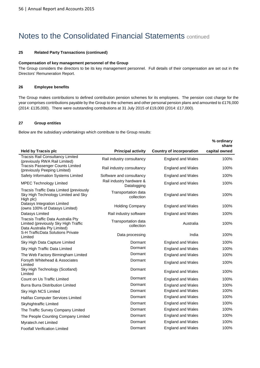#### **25 Related Party Transactions (continued)**

#### **Compensation of key management personnel of the Group**

The Group considers the directors to be its key management personnel. Full details of their compensation are set out in the Directors' Remuneration Report.

#### **26 Employee benefits**

The Group makes contributions to defined contribution pension schemes for its employees. The pension cost charge for the year comprises contributions payable by the Group to the schemes and other personal pension plans and amounted to £176,000 (2014: £135,000). There were outstanding contributions at 31 July 2015 of £19,000 (2014: £17,000).

#### **27 Group entities**

Below are the subsidiary undertakings which contribute to the Group results:

|                                                                                                           |                                         |                                 | % ordinary<br>share |
|-----------------------------------------------------------------------------------------------------------|-----------------------------------------|---------------------------------|---------------------|
| <b>Held by Tracsis plc</b>                                                                                | <b>Principal activity</b>               | <b>Country of incorporation</b> | capital owned       |
| <b>Tracsis Rail Consultancy Limited</b><br>(previously RWA Rail Limited)                                  | Rail industry consultancy               | <b>England and Wales</b>        | 100%                |
| <b>Tracsis Passenger Counts Limited</b><br>(previously Peeping Limited)                                   | Rail industry consultancy               | <b>England and Wales</b>        | 100%                |
| Safety Information Systems Limited                                                                        | Software and consultancy                | <b>England and Wales</b>        | 100%                |
| <b>MPEC Technology Limited</b>                                                                            | Rail industry hardware &<br>Datalogging | <b>England and Wales</b>        | 100%                |
| Tracsis Traffic Data Limited (previously<br>Sky High Technology Limited and Sky<br>High plc)              | Transportation data<br>collection       | <b>England and Wales</b>        | 100%                |
| Datasys Integration Limited<br>(owns 100% of Datasys Limited)                                             | <b>Holding Company</b>                  | <b>England and Wales</b>        | 100%                |
| Datasys Limited                                                                                           | Rail industry software                  | <b>England and Wales</b>        | 100%                |
| Tracsis Traffic Data Australia Pty<br>Limited (previously Sky High Traffic<br>Data Australia Pty Limited) | Transportation data<br>collection       | Australia                       | 100%                |
| S-H TrafficData Solutions Private<br>Limited                                                              | Data processing                         | India                           | 100%                |
| Sky High Data Capture Limited                                                                             | Dormant                                 | <b>England and Wales</b>        | 100%                |
| Sky High Traffic Data Limited                                                                             | Dormant                                 | <b>England and Wales</b>        | 100%                |
| The Web Factory Birmingham Limited                                                                        | Dormant                                 | <b>England and Wales</b>        | 100%                |
| Forsyth Whitehead & Associates<br>Limited                                                                 | Dormant                                 | <b>England and Wales</b>        | 100%                |
| Sky High Technology (Scotland)<br>Limited                                                                 | Dormant                                 | <b>England and Wales</b>        | 100%                |
| Count on Us Traffic Limited                                                                               | Dormant                                 | <b>England and Wales</b>        | 100%                |
| <b>Burra Burra Distribution Limited</b>                                                                   | Dormant                                 | <b>England and Wales</b>        | 100%                |
| Sky High NCS Limited                                                                                      | Dormant                                 | <b>England and Wales</b>        | 100%                |
| Halifax Computer Services Limited                                                                         | Dormant                                 | <b>England and Wales</b>        | 100%                |
| Skyhightraffic Limited                                                                                    | Dormant                                 | <b>England and Wales</b>        | 100%                |
| The Traffic Survey Company Limited                                                                        | Dormant                                 | <b>England and Wales</b>        | 100%                |
| The People Counting Company Limited                                                                       | Dormant                                 | <b>England and Wales</b>        | 100%                |
| Myratech.net Limited                                                                                      | Dormant                                 | <b>England and Wales</b>        | 100%                |
| <b>Footfall Verification Limited</b>                                                                      | Dormant                                 | <b>England and Wales</b>        | 100%                |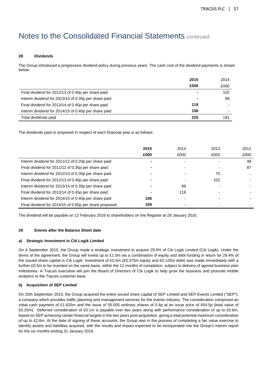#### **28 Dividends**

The Group introduced a progressive dividend policy during previous years. The cash cost of the dividend payments is shown below:

|                                                      | 2015           | 2014 |
|------------------------------------------------------|----------------|------|
|                                                      | £000           | £000 |
| Final dividend for 2012/13 of 0.40p per share paid   |                | 102  |
| Interim dividend for 2013/14 of 0.35p per share paid | $\blacksquare$ | 89   |
| Final dividend for 2013/14 of 0.45p per share paid   | 119            |      |
| Interim dividend for 2014/15 of 0.40p per share paid | 106            |      |
| Total dividends paid                                 | 225            | 191  |

The dividends paid or proposed in respect of each financial year is as follows:

|                                                        | 2015 | 2014 | 2013 | 2012 |
|--------------------------------------------------------|------|------|------|------|
|                                                        | £000 | £000 | £000 | £000 |
| Interim dividend for 2011/12 of 0.20p per share paid   |      |      |      | 48   |
| Final dividend for 2011/12 of 0.35p per share paid     |      |      |      | 87   |
| Interim dividend for 2012/13 of 0.30p per share paid   |      |      | 75   |      |
| Final dividend for 2012/13 of 0.40p per share paid     |      |      | 102  |      |
| Interim dividend for 2013/14 of 0.35p per share paid   |      | 89   |      |      |
| Final dividend for 2013/14 of 0.45p per share paid     |      | 119  |      |      |
| Interim dividend for 2014/15 of 0.40p per share paid   | 106  |      |      |      |
| Final dividend for 2014/15 of 0.60p per share proposed | 159  |      |      |      |

The dividend will be payable on 12 February 2016 to shareholders on the Register at 29 January 2016.

#### **29 Events after the Balance Sheet date**

#### **a) Strategic Investment in Citi Logik Limited**

On 4 September 2015, the Group made a strategic investment to acquire 29.4% of Citi Logik Limited (Citi Logik). Under the terms of the agreement, the Group will invest up to £1.0m via a combination of equity and debt funding in return for 29.4% of the issued share capital in Citi Logik. Investment of £0.5m (£0.375m equity and £0.125m debt) was made immediately with a further £0.5m to be invested on the same basis, within the 12 months of completion, subject to delivery of agreed business plan milestones. A Tracsis executive will join the Board of Directors of Citi Logik to help grow the business and promote mobile analytics to the Tracsis customer base.

#### **b) Acquisition of SEP Limited**

On 25th September 2015, the Group acquired the entire issued share capital of SEP Limited and SEP Events Limited ("SEP"), a company which provides traffic planning and management services for the events industry. The consideration comprised an initial cash payment of £1.625m and the issue of 55,005 ordinary shares of 0.4p at an issue price of 454.5p (total value of £0.25m). Deferred consideration of £0.1m is payable over two years along with performance consideration of up to £0.6m, based on SEP achieving certain financial targets in the two years post acquisition, giving a total potential maximum consideration of up to £2.6m. At the date of signing of these accounts, the Group was in the process of completing a fair value exercise to identify assets and liabilities acquired, with the results and impact expected to be incorporated into the Group's interim report for the six months ending 31 January 2016.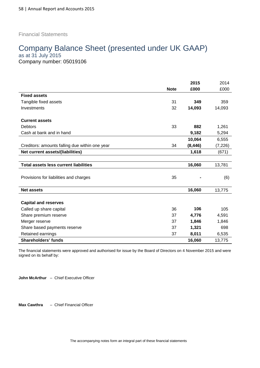### Company Balance Sheet (presented under UK GAAP) as at 31 July 2015

Company number: 05019106

|                                                |             | 2015     | 2014     |
|------------------------------------------------|-------------|----------|----------|
|                                                | <b>Note</b> | £000     | £000     |
| <b>Fixed assets</b>                            |             |          |          |
| Tangible fixed assets                          | 31          | 349      | 359      |
| Investments                                    | 32          | 14,093   | 14,093   |
| <b>Current assets</b>                          |             |          |          |
| <b>Debtors</b>                                 | 33          | 882      | 1,261    |
| Cash at bank and in hand                       |             | 9,182    | 5,294    |
|                                                |             | 10,064   | 6,555    |
| Creditors: amounts falling due within one year | 34          | (8, 446) | (7, 226) |
| Net current assets/(liabilities)               |             | 1,618    | (671)    |
|                                                |             |          |          |
| <b>Total assets less current liabilities</b>   |             | 16,060   | 13,781   |
| Provisions for liabilities and charges         | 35          |          | (6)      |
| <b>Net assets</b>                              |             | 16,060   | 13,775   |
| <b>Capital and reserves</b>                    |             |          |          |
| Called up share capital                        | 36          | 106      | 105      |
| Share premium reserve                          | 37          | 4,776    | 4,591    |
| Merger reserve                                 | 37          | 1,846    | 1,846    |
| Share based payments reserve                   | 37          | 1,321    | 698      |
| Retained earnings                              | 37          | 8,011    | 6,535    |
| <b>Shareholders' funds</b>                     |             | 16,060   | 13,775   |

The financial statements were approved and authorised for issue by the Board of Directors on 4 November 2015 and were signed on its behalf by:

**John McArthur** – Chief Executive Officer

**Max Cawthra** – Chief Financial Officer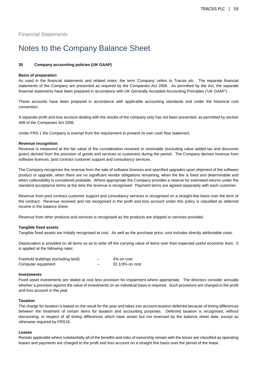### Notes to the Company Balance Sheet

#### **30 Company accounting policies (UK GAAP)**

#### **Basis of preparation**

As used in the financial statements and related notes, the term 'Company' refers to Tracsis plc. The separate financial statements of the Company are presented as required by the Companies Act 2006. As permitted by the Act, the separate financial statements have been prepared in accordance with UK Generally Accepted Accounting Principles ('UK GAAP').

These accounts have been prepared in accordance with applicable accounting standards and under the historical cost convention.

A separate profit and loss account dealing with the results of the company only has not been presented, as permitted by section 408 of the Companies Act 2006.

Under FRS 1 the Company is exempt from the requirement to present its own cash flow statement.

#### **Revenue recognition**

Revenue is measured at the fair value of the consideration received or receivable (excluding value added tax and discounts given) derived from the provision of goods and services to customers during the period. The Company derives revenue from software licences, post contract customer support and consultancy services.

The Company recognises the revenue from the sale of software licences and specified upgrades upon shipment of the software product or upgrade, when there are no significant vendor obligations remaining, when the fee is fixed and determinable and when collectability is considered probable. Where appropriate the Company provides a reserve for estimated returns under the standard acceptance terms at the time the revenue is recognised. Payment terms are agreed separately with each customer.

Revenue from post contract customer support and consultancy services is recognised on a straight-line basis over the term of the contract. Revenue received and not recognised in the profit and loss account under this policy is classified as deferred income in the balance sheet.

Revenue from other products and services is recognised as the products are shipped or services provided.

#### **Tangible fixed assets**

Tangible fixed assets are initially recognised at cost. As well as the purchase price, cost includes directly attributable costs.

Depreciation is provided on all items so as to write off the carrying value of items over their expected useful economic lives. It is applied at the following rates:

| Freehold buildings (excluding land) | 4% on cost      |
|-------------------------------------|-----------------|
| Computer equipment                  | 33 1/3% on cost |

#### **Investments**

Fixed asset investments are stated at cost less provision for impairment where appropriate. The directors consider annually whether a provision against the value of investments on an individual basis is required. Such provisions are charged in the profit and loss account in the year.

#### **Taxation**

The charge for taxation is based on the result for the year and takes into account taxation deferred because of timing differences between the treatment of certain items for taxation and accounting purposes. Deferred taxation is recognised, without discounting, in respect of all timing differences which have arisen but not reversed by the balance sheet date, except as otherwise required by FRS19.

#### **Leases**

Rentals applicable where substantially all of the benefits and risks of ownership remain with the lessor are classified as operating leases and payments are charged to the profit and loss account on a straight line basis over the period of the lease.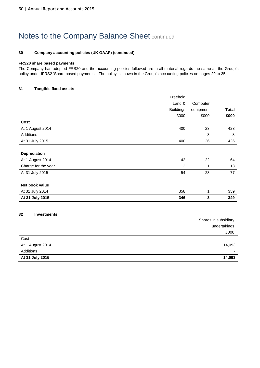#### **30 Company accounting policies (UK GAAP) (continued)**

#### **FRS20 share based payments**

The Company has adopted FRS20 and the accounting policies followed are in all material regards the same as the Group's policy under IFRS2 'Share based payments'. The policy is shown in the Group's accounting policies on pages 29 to 35.

#### **31 Tangible fixed assets**

|                          | Freehold         |           |                      |
|--------------------------|------------------|-----------|----------------------|
|                          | Land &           | Computer  |                      |
|                          | <b>Buildings</b> | equipment | <b>Total</b>         |
|                          | £000             | £000      | £000                 |
| Cost                     |                  |           |                      |
| At 1 August 2014         | 400              | 23        | 423                  |
| <b>Additions</b>         | $\blacksquare$   | 3         | 3                    |
| At 31 July 2015          | 400              | 26        | 426                  |
|                          |                  |           |                      |
| Depreciation             |                  |           |                      |
| At 1 August 2014         | 42               | 22        | 64                   |
| Charge for the year      | 12               | 1         | 13                   |
| At 31 July 2015          | 54               | 23        | 77                   |
|                          |                  |           |                      |
| Net book value           |                  |           |                      |
| At 31 July 2014          | 358              | 1         | 359                  |
| At 31 July 2015          | 346              | 3         | 349                  |
|                          |                  |           |                      |
| 32<br><b>Investments</b> |                  |           |                      |
|                          |                  |           | Shares in subsidiary |
|                          |                  |           | undertakings         |
|                          |                  |           | £000                 |
| Cost                     |                  |           |                      |
| At 1 August 2014         |                  |           | 14,093               |
| <b>Additions</b>         |                  |           |                      |
| At 31 July 2015          |                  |           | 14,093               |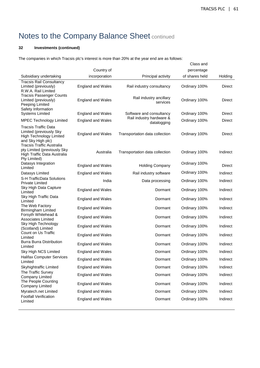### **32 Investments (continued)**

The companies in which Tracsis plc's interest is more than 20% at the year end are as follows:

|                                                                                                                |                          |                                         | Class and      |          |
|----------------------------------------------------------------------------------------------------------------|--------------------------|-----------------------------------------|----------------|----------|
|                                                                                                                | Country of               |                                         | percentage     |          |
| Subsidiary undertaking                                                                                         | incorporation            | Principal activity                      | of shares held | Holding  |
| <b>Tracsis Rail Consultancy</b><br>Limited (previously)<br>R.W.A. Rail Limited                                 | <b>England and Wales</b> | Rail industry consultancy               | Ordinary 100%  | Direct   |
| <b>Tracsis Passenger Counts</b><br>Limited (previously)<br>Peeping Limited                                     | <b>England and Wales</b> | Rail industry ancillary<br>services     | Ordinary 100%  | Direct   |
| Safety Information<br><b>Systems Limited</b>                                                                   | <b>England and Wales</b> | Software and consultancy                | Ordinary 100%  | Direct   |
| <b>MPEC Technology Limited</b>                                                                                 | <b>England and Wales</b> | Rail industry hardware &<br>datalogging | Ordinary 100%  | Direct   |
| <b>Tracsis Traffic Data</b><br>Limited (previously Sky<br>High Technology Limited<br>and Sky High plc)         | <b>England and Wales</b> | Transportation data collection          | Ordinary 100%  | Direct   |
| <b>Tracsis Traffic Australia</b><br>pty Limited (previously Sky<br>High Traffic Data Australia<br>Pty Limited) | Australia                | Transportation data collection          | Ordinary 100%  | Indirect |
| Datasys Integration<br>Limited                                                                                 | <b>England and Wales</b> | <b>Holding Company</b>                  | Ordinary 100%  | Direct   |
| Datasys Limited                                                                                                | <b>England and Wales</b> | Rail industry software                  | Ordinary 100%  | Indirect |
| S-H TrafficData Solutions<br><b>Private Limited</b>                                                            | India                    | Data processing                         | Ordinary 100%  | Indirect |
| Sky High Data Capture<br>Limited                                                                               | <b>England and Wales</b> | Dormant                                 | Ordinary 100%  | Indirect |
| Sky High Traffic Data<br>Limited                                                                               | <b>England and Wales</b> | Dormant                                 | Ordinary 100%  | Indirect |
| The Web Factory<br><b>Birmingham Limited</b>                                                                   | <b>England and Wales</b> | Dormant                                 | Ordinary 100%  | Indirect |
| Forsyth Whitehead &<br><b>Associates Limited</b>                                                               | <b>England and Wales</b> | Dormant                                 | Ordinary 100%  | Indirect |
| Sky High Technology<br>(Scotland) Limited                                                                      | <b>England and Wales</b> | Dormant                                 | Ordinary 100%  | Indirect |
| Count on Us Traffic<br>Limited                                                                                 | <b>England and Wales</b> | Dormant                                 | Ordinary 100%  | Indirect |
| <b>Burra Burra Distribution</b><br>Limited                                                                     | <b>England and Wales</b> | Dormant                                 | Ordinary 100%  | Indirect |
| Sky High NCS Limited                                                                                           | <b>England and Wales</b> | Dormant                                 | Ordinary 100%  | Indirect |
| <b>Halifax Computer Services</b><br>Limited                                                                    | <b>England and Wales</b> | Dormant                                 | Ordinary 100%  | Indirect |
| Skyhightraffic Limited                                                                                         | England and Wales        | Dormant                                 | Ordinary 100%  | Indirect |
| The Traffic Survey<br>Company Limited                                                                          | England and Wales        | Dormant                                 | Ordinary 100%  | Indirect |
| The People Counting<br><b>Company Limited</b>                                                                  | <b>England and Wales</b> | Dormant                                 | Ordinary 100%  | Indirect |
| Myratech.net Limited                                                                                           | <b>England and Wales</b> | Dormant                                 | Ordinary 100%  | Indirect |
| <b>Footfall Verification</b><br>Limited                                                                        | <b>England and Wales</b> | Dormant                                 | Ordinary 100%  | Indirect |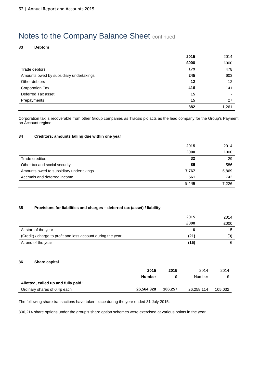#### **33 Debtors**

|                                         | 2015 | 2014                     |
|-----------------------------------------|------|--------------------------|
|                                         | £000 | £000                     |
| Trade debtors                           | 179  | 478                      |
| Amounts owed by subsidiary undertakings | 245  | 603                      |
| Other debtors                           | 12   | 12                       |
| <b>Corporation Tax</b>                  | 416  | 141                      |
| Deferred Tax asset                      | 15   | $\overline{\phantom{0}}$ |
| Prepayments                             | 15   | 27                       |
|                                         | 882  | 1,261                    |

Corporation tax is recoverable from other Group companies as Tracsis plc acts as the lead company for the Group's Payment on Account regime.

#### **34 Creditors: amounts falling due within one year**

|                                         | 2015  | 2014  |
|-----------------------------------------|-------|-------|
|                                         | £000  | £000  |
| Trade creditors                         | 32    | 29    |
| Other tax and social security           | 86    | 586   |
| Amounts owed to subsidiary undertakings | 7,767 | 5,869 |
| Accruals and deferred income            | 561   | 742   |
|                                         | 8,446 | 7,226 |

#### **35 Provisions for liabilities and charges – deferred tax (asset) / liability**

|                                                              | 2015 | 2014 |
|--------------------------------------------------------------|------|------|
|                                                              | £000 | £000 |
| At start of the year                                         |      | 15   |
| (Credit) / charge to profit and loss account during the year | (21) | (9)  |
| At end of the year                                           | (15) | 6    |

#### **36 Share capital**

|                                     | 2015          | 2015    | 2014       | 2014    |
|-------------------------------------|---------------|---------|------------|---------|
|                                     | <b>Number</b> |         | Number     |         |
| Allotted, called up and fully paid: |               |         |            |         |
| Ordinary shares of 0.4p each        | 26.564.328    | 106.257 | 26,258,114 | 105.032 |

The following share transactions have taken place during the year ended 31 July 2015:

306,214 share options under the group's share option schemes were exercised at various points in the year.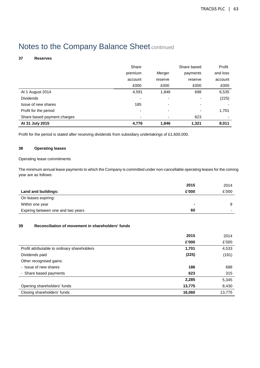### **37 Reserves**

|                             | Share                    |                          | Share based | Profit   |
|-----------------------------|--------------------------|--------------------------|-------------|----------|
|                             | premium                  | Merger                   | payments    | and loss |
|                             | account                  | reserve                  | reserve     | account  |
|                             | £000                     | £000                     | £000        | £000     |
| At 1 August 2014            | 4,591                    | 1,846                    | 698         | 6,535    |
| <b>Dividends</b>            |                          | $\overline{\phantom{a}}$ |             | (225)    |
| Issue of new shares         | 185                      | $\overline{\phantom{a}}$ |             |          |
| Profit for the period       | $\overline{\phantom{0}}$ | $\overline{\phantom{a}}$ | -           | 1,701    |
| Share based payment charges | $\overline{\phantom{0}}$ | $\overline{\phantom{a}}$ | 623         |          |
| At 31 July 2015             | 4,776                    | 1,846                    | 1,321       | 8,011    |

Profit for the period is stated after receiving dividends from subsidiary undertakings of £1,600,000.

#### **38 Operating leases**

#### Operating lease commitments

The minimum annual lease payments to which the Company is committed under non-cancellable operating leases for the coming year are as follows:

|                                    | 2015           | 2014  |
|------------------------------------|----------------|-------|
| Land and buildings:                | £'000          | £'000 |
| On leases expiring:                |                |       |
| Within one year                    | $\blacksquare$ | Й     |
| Expiring between one and two years | 60             | -     |

#### **39 Reconciliation of movement in shareholders' funds**

|                                              | 2015   | 2014   |
|----------------------------------------------|--------|--------|
|                                              | £'000  | £'000  |
| Profit attributable to ordinary shareholders | 1,701  | 4,533  |
| Dividends paid                               | (225)  | (191)  |
| Other recognised gains:                      |        |        |
| - Issue of new shares                        | 186    | 688    |
| - Share based payments                       | 623    | 315    |
|                                              | 2,285  | 5,345  |
| Opening shareholders' funds                  | 13,775 | 8,430  |
| Closing shareholders' funds                  | 16,060 | 13.775 |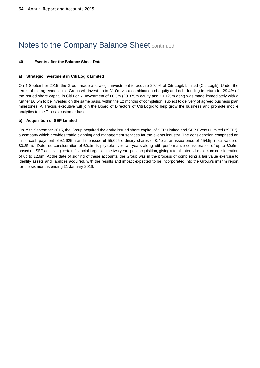#### **40 Events after the Balance Sheet Date**

#### **a) Strategic Investment in Citi Logik Limited**

On 4 September 2015, the Group made a strategic investment to acquire 29.4% of Citi Logik Limited (Citi Logik). Under the terms of the agreement, the Group will invest up to £1.0m via a combination of equity and debt funding in return for 29.4% of the issued share capital in Citi Logik. Investment of £0.5m (£0.375m equity and £0.125m debt) was made immediately with a further £0.5m to be invested on the same basis, within the 12 months of completion, subject to delivery of agreed business plan milestones. A Tracsis executive will join the Board of Directors of Citi Logik to help grow the business and promote mobile analytics to the Tracsis customer base.

#### **b) Acquisition of SEP Limited**

On 25th September 2015, the Group acquired the entire issued share capital of SEP Limited and SEP Events Limited ("SEP"), a company which provides traffic planning and management services for the events industry. The consideration comprised an initial cash payment of £1.625m and the issue of 55,005 ordinary shares of 0.4p at an issue price of 454.5p (total value of £0.25m). Deferred consideration of £0.1m is payable over two years along with performance consideration of up to £0.6m, based on SEP achieving certain financial targets in the two years post acquisition, giving a total potential maximum consideration of up to £2.6m. At the date of signing of these accounts, the Group was in the process of completing a fair value exercise to identify assets and liabilities acquired, with the results and impact expected to be incorporated into the Group's interim report for the six months ending 31 January 2016.